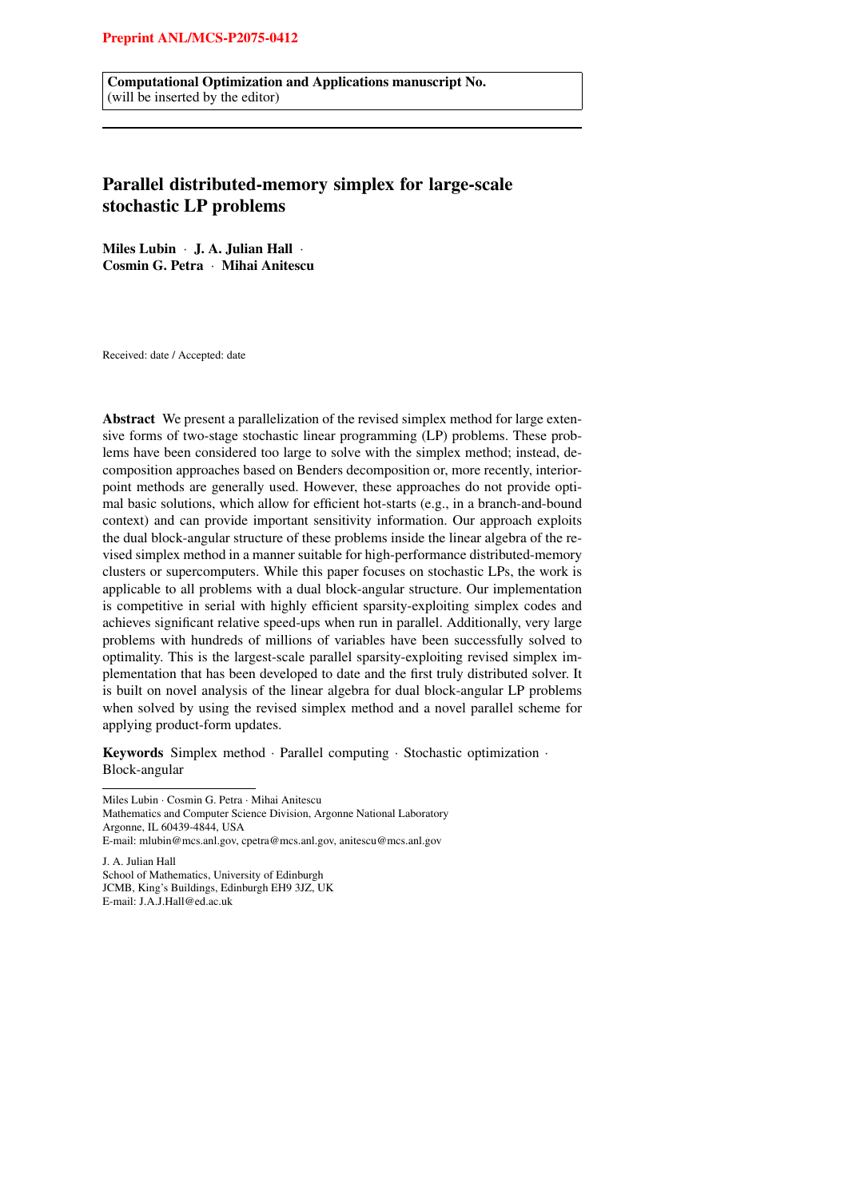Computational Optimization and Applications manuscript No. (will be inserted by the editor)

# Parallel distributed-memory simplex for large-scale stochastic LP problems

Miles Lubin · J. A. Julian Hall · Cosmin G. Petra · Mihai Anitescu

Received: date / Accepted: date

Abstract We present a parallelization of the revised simplex method for large extensive forms of two-stage stochastic linear programming (LP) problems. These problems have been considered too large to solve with the simplex method; instead, decomposition approaches based on Benders decomposition or, more recently, interiorpoint methods are generally used. However, these approaches do not provide optimal basic solutions, which allow for efficient hot-starts (e.g., in a branch-and-bound context) and can provide important sensitivity information. Our approach exploits the dual block-angular structure of these problems inside the linear algebra of the revised simplex method in a manner suitable for high-performance distributed-memory clusters or supercomputers. While this paper focuses on stochastic LPs, the work is applicable to all problems with a dual block-angular structure. Our implementation is competitive in serial with highly efficient sparsity-exploiting simplex codes and achieves significant relative speed-ups when run in parallel. Additionally, very large problems with hundreds of millions of variables have been successfully solved to optimality. This is the largest-scale parallel sparsity-exploiting revised simplex implementation that has been developed to date and the first truly distributed solver. It is built on novel analysis of the linear algebra for dual block-angular LP problems when solved by using the revised simplex method and a novel parallel scheme for applying product-form updates.

Keywords Simplex method · Parallel computing · Stochastic optimization · Block-angular

Miles Lubin · Cosmin G. Petra · Mihai Anitescu Mathematics and Computer Science Division, Argonne National Laboratory Argonne, IL 60439-4844, USA E-mail: mlubin@mcs.anl.gov, cpetra@mcs.anl.gov, anitescu@mcs.anl.gov J. A. Julian Hall School of Mathematics, University of Edinburgh JCMB, King's Buildings, Edinburgh EH9 3JZ, UK

E-mail: J.A.J.Hall@ed.ac.uk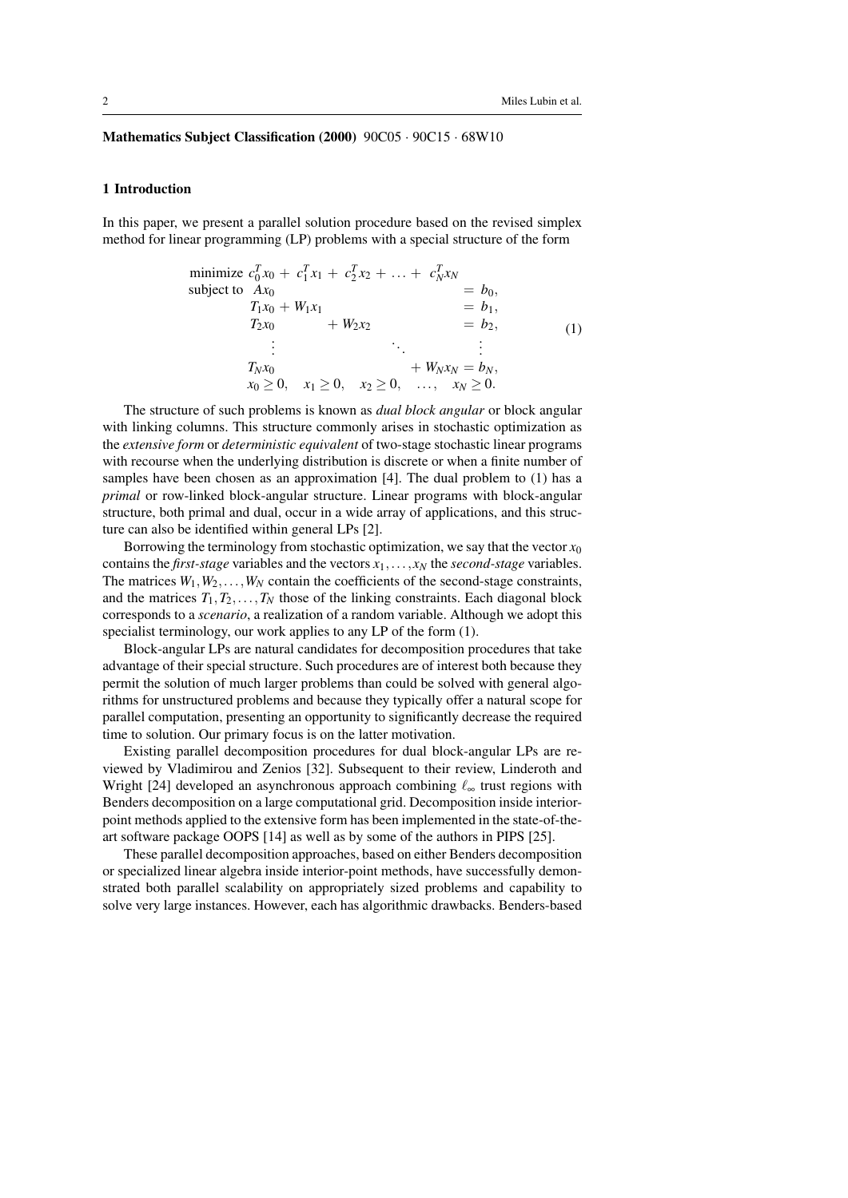## Mathematics Subject Classification (2000) 90C05 · 90C15 · 68W10

### 1 Introduction

In this paper, we present a parallel solution procedure based on the revised simplex method for linear programming (LP) problems with a special structure of the form

minimize 
$$
c_0^T x_0 + c_1^T x_1 + c_2^T x_2 + \dots + c_N^T x_N
$$
  
\nsubject to  $Ax_0$   
\n $T_1x_0 + W_1x_1$   
\n $T_2x_0$   
\n $\vdots$   
\n $T_Nx_0$   
\n $x_0 \ge 0, \quad x_1 \ge 0, \quad x_2 \ge 0, \quad \dots, \quad x_N \ge 0.$   
\n $x_N \ge 0.$ 

The structure of such problems is known as *dual block angular* or block angular with linking columns. This structure commonly arises in stochastic optimization as the *extensive form* or *deterministic equivalent* of two-stage stochastic linear programs with recourse when the underlying distribution is discrete or when a finite number of samples have been chosen as an approximation [4]. The dual problem to (1) has a *primal* or row-linked block-angular structure. Linear programs with block-angular structure, both primal and dual, occur in a wide array of applications, and this structure can also be identified within general LPs [2].

Borrowing the terminology from stochastic optimization, we say that the vector  $x_0$ contains the *first-stage* variables and the vectors  $x_1, \ldots, x_N$  the *second-stage* variables. The matrices  $W_1, W_2, \ldots, W_N$  contain the coefficients of the second-stage constraints, and the matrices  $T_1, T_2, \ldots, T_N$  those of the linking constraints. Each diagonal block corresponds to a *scenario*, a realization of a random variable. Although we adopt this specialist terminology, our work applies to any LP of the form (1).

Block-angular LPs are natural candidates for decomposition procedures that take advantage of their special structure. Such procedures are of interest both because they permit the solution of much larger problems than could be solved with general algorithms for unstructured problems and because they typically offer a natural scope for parallel computation, presenting an opportunity to significantly decrease the required time to solution. Our primary focus is on the latter motivation.

Existing parallel decomposition procedures for dual block-angular LPs are reviewed by Vladimirou and Zenios [32]. Subsequent to their review, Linderoth and Wright [24] developed an asynchronous approach combining  $\ell_{\infty}$  trust regions with Benders decomposition on a large computational grid. Decomposition inside interiorpoint methods applied to the extensive form has been implemented in the state-of-theart software package OOPS [14] as well as by some of the authors in PIPS [25].

These parallel decomposition approaches, based on either Benders decomposition or specialized linear algebra inside interior-point methods, have successfully demonstrated both parallel scalability on appropriately sized problems and capability to solve very large instances. However, each has algorithmic drawbacks. Benders-based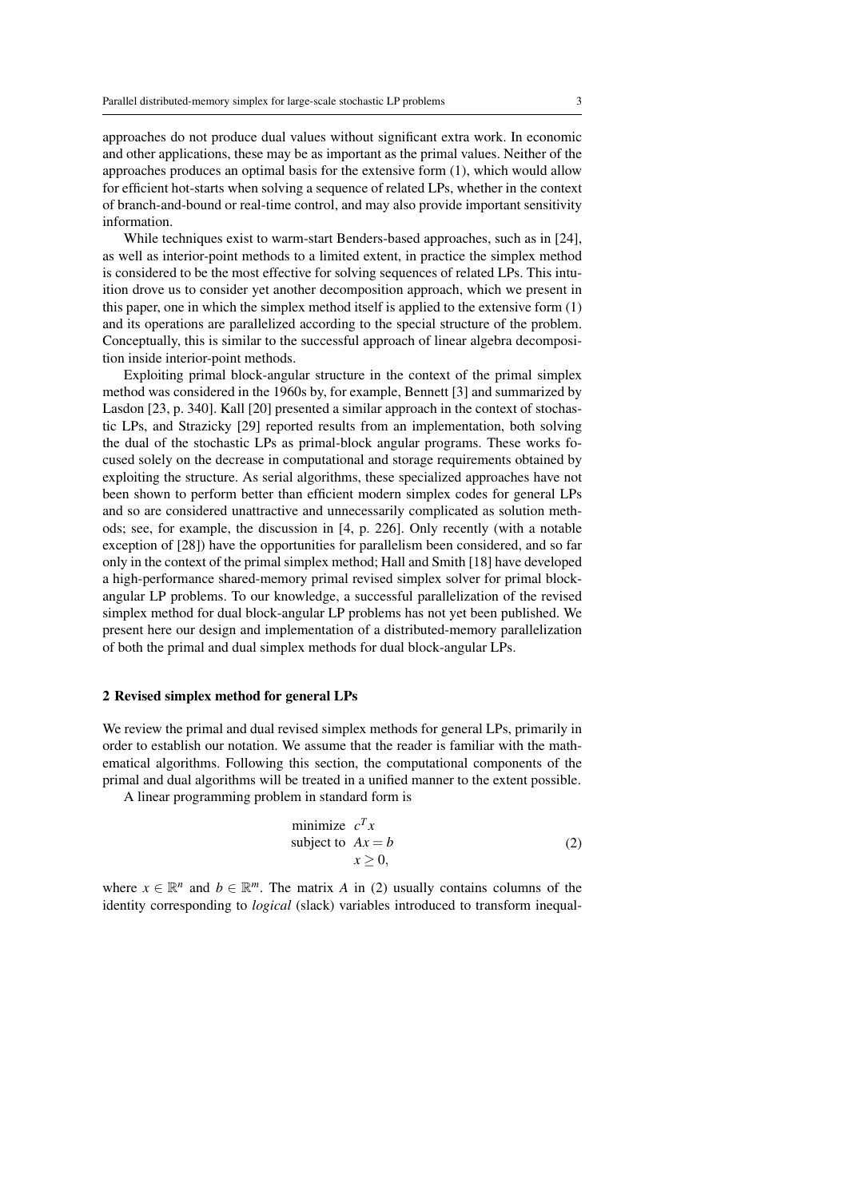approaches do not produce dual values without significant extra work. In economic and other applications, these may be as important as the primal values. Neither of the approaches produces an optimal basis for the extensive form (1), which would allow for efficient hot-starts when solving a sequence of related LPs, whether in the context of branch-and-bound or real-time control, and may also provide important sensitivity information.

While techniques exist to warm-start Benders-based approaches, such as in [24], as well as interior-point methods to a limited extent, in practice the simplex method is considered to be the most effective for solving sequences of related LPs. This intuition drove us to consider yet another decomposition approach, which we present in this paper, one in which the simplex method itself is applied to the extensive form (1) and its operations are parallelized according to the special structure of the problem. Conceptually, this is similar to the successful approach of linear algebra decomposition inside interior-point methods.

Exploiting primal block-angular structure in the context of the primal simplex method was considered in the 1960s by, for example, Bennett [3] and summarized by Lasdon [23, p. 340]. Kall [20] presented a similar approach in the context of stochastic LPs, and Strazicky [29] reported results from an implementation, both solving the dual of the stochastic LPs as primal-block angular programs. These works focused solely on the decrease in computational and storage requirements obtained by exploiting the structure. As serial algorithms, these specialized approaches have not been shown to perform better than efficient modern simplex codes for general LPs and so are considered unattractive and unnecessarily complicated as solution methods; see, for example, the discussion in [4, p. 226]. Only recently (with a notable exception of [28]) have the opportunities for parallelism been considered, and so far only in the context of the primal simplex method; Hall and Smith [18] have developed a high-performance shared-memory primal revised simplex solver for primal blockangular LP problems. To our knowledge, a successful parallelization of the revised simplex method for dual block-angular LP problems has not yet been published. We present here our design and implementation of a distributed-memory parallelization of both the primal and dual simplex methods for dual block-angular LPs.

## 2 Revised simplex method for general LPs

We review the primal and dual revised simplex methods for general LPs, primarily in order to establish our notation. We assume that the reader is familiar with the mathematical algorithms. Following this section, the computational components of the primal and dual algorithms will be treated in a unified manner to the extent possible.

A linear programming problem in standard form is

minimize 
$$
c^T x
$$
  
subject to  $Ax = b$   
 $x \ge 0$ , (2)

where  $x \in \mathbb{R}^n$  and  $b \in \mathbb{R}^m$ . The matrix *A* in (2) usually contains columns of the identity corresponding to *logical* (slack) variables introduced to transform inequal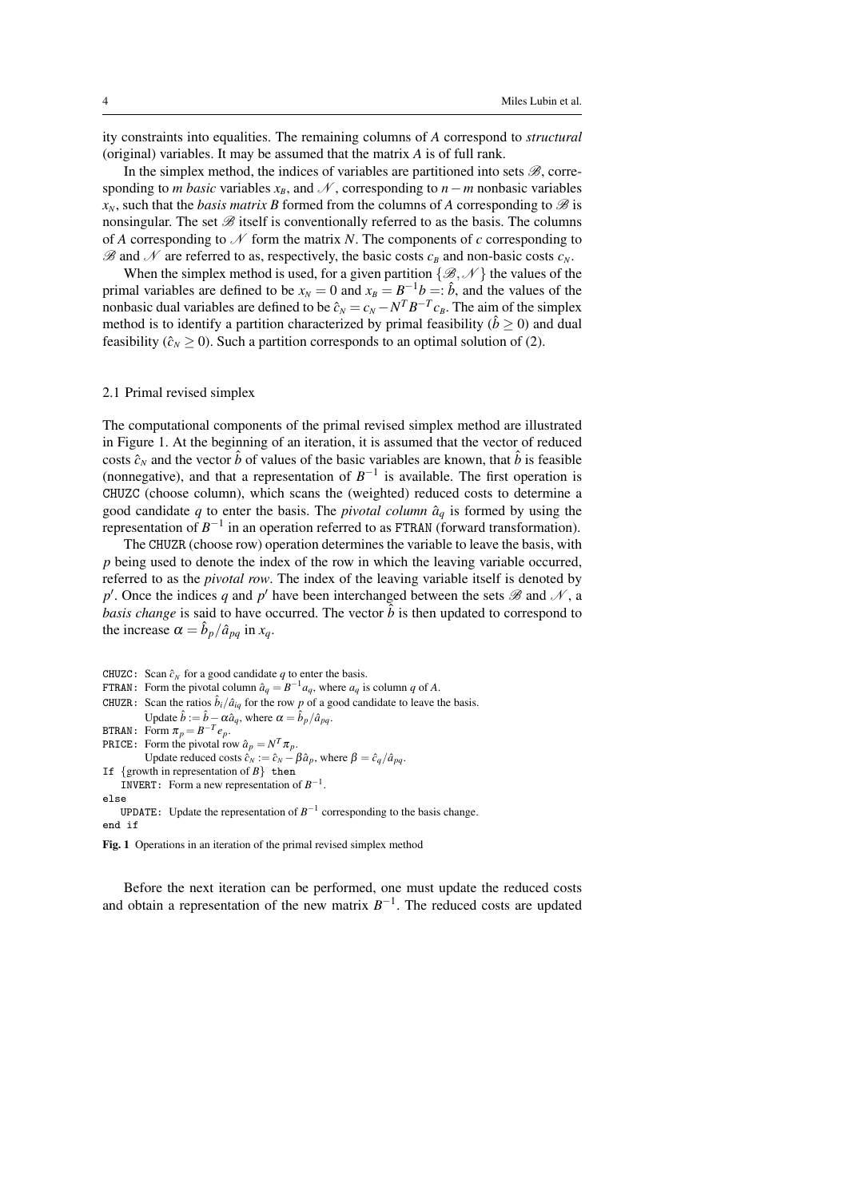ity constraints into equalities. The remaining columns of *A* correspond to *structural* (original) variables. It may be assumed that the matrix *A* is of full rank.

In the simplex method, the indices of variables are partitioned into sets  $\mathscr{B}$ , corresponding to *m basic* variables  $x_B$ , and  $N$ , corresponding to  $n - m$  nonbasic variables  $x_N$ , such that the *basis matrix B* formed from the columns of *A* corresponding to  $\mathscr B$  is nonsingular. The set  $\mathscr B$  itself is conventionally referred to as the basis. The columns of *A* corresponding to  $N$  form the matrix *N*. The components of *c* corresponding to  $\mathscr{B}$  and  $\mathscr{N}$  are referred to as, respectively, the basic costs  $c_B$  and non-basic costs  $c_N$ .

When the simplex method is used, for a given partition  $\{\mathscr{B}, \mathscr{N}\}\$  the values of the primal variables are defined to be  $x_N = 0$  and  $x_B = B^{-1}b = \hat{b}$ , and the values of the nonbasic dual variables are defined to be  $\hat{c}_N = c_N - N^T B^{-T} c_B$ . The aim of the simplex method is to identify a partition characterized by primal feasibility ( $\hat{b} \ge 0$ ) and dual feasibility ( $\hat{c}_N \ge 0$ ). Such a partition corresponds to an optimal solution of (2).

### 2.1 Primal revised simplex

The computational components of the primal revised simplex method are illustrated in Figure 1. At the beginning of an iteration, it is assumed that the vector of reduced costs  $\hat{c}_N$  and the vector  $\hat{b}$  of values of the basic variables are known, that  $\hat{b}$  is feasible (nonnegative), and that a representation of  $B^{-1}$  is available. The first operation is CHUZC (choose column), which scans the (weighted) reduced costs to determine a good candidate  $q$  to enter the basis. The *pivotal column*  $\hat{a}_q$  is formed by using the representation of  $B^{-1}$  in an operation referred to as FTRAN (forward transformation).

The CHUZR (choose row) operation determines the variable to leave the basis, with *p* being used to denote the index of the row in which the leaving variable occurred, referred to as the *pivotal row*. The index of the leaving variable itself is denoted by *p*<sup> $\prime$ </sup>. Once the indices *q* and *p*<sup> $\prime$ </sup> have been interchanged between the sets  $\mathscr{B}$  and  $\mathscr{N}$ , a *basis change* is said to have occurred. The vector  $\hat{b}$  is then updated to correspond to the increase  $\alpha = \hat{b}_p / \hat{a}_{pq}$  in  $x_q$ .

```
CHUZC: Scan \hat{c}_N for a good candidate q to enter the basis.
FTRAN: Form the pivotal column \hat{a}_q = B^{-1}a_q, where a_q is column q of A.
CHUZR: Scan the ratios \hat{b}_i/\hat{a}_{iq} for the row p of a good candidate to leave the basis.
           Update \hat{b} := \hat{b} - \alpha \hat{a}_q, where \alpha = \hat{b}_p / \hat{a}_{pq}.
BTRAN: Form \pi_p = B^{-T}e_p.
PRICE: Form the pivotal row \hat{a}_p = N^T \pi_p.
           Update reduced costs \hat{c}_N := \hat{c}_N - \beta \hat{a}_p, where \beta = \hat{c}_q/\hat{a}_{pq}.
If \{growth in representation of B\} then
     INVERT: Form a new representation of B^{-1}.
else
     UPDATE: Update the representation of B^{-1} corresponding to the basis change.
end if
```
Fig. 1 Operations in an iteration of the primal revised simplex method

Before the next iteration can be performed, one must update the reduced costs and obtain a representation of the new matrix  $B^{-1}$ . The reduced costs are updated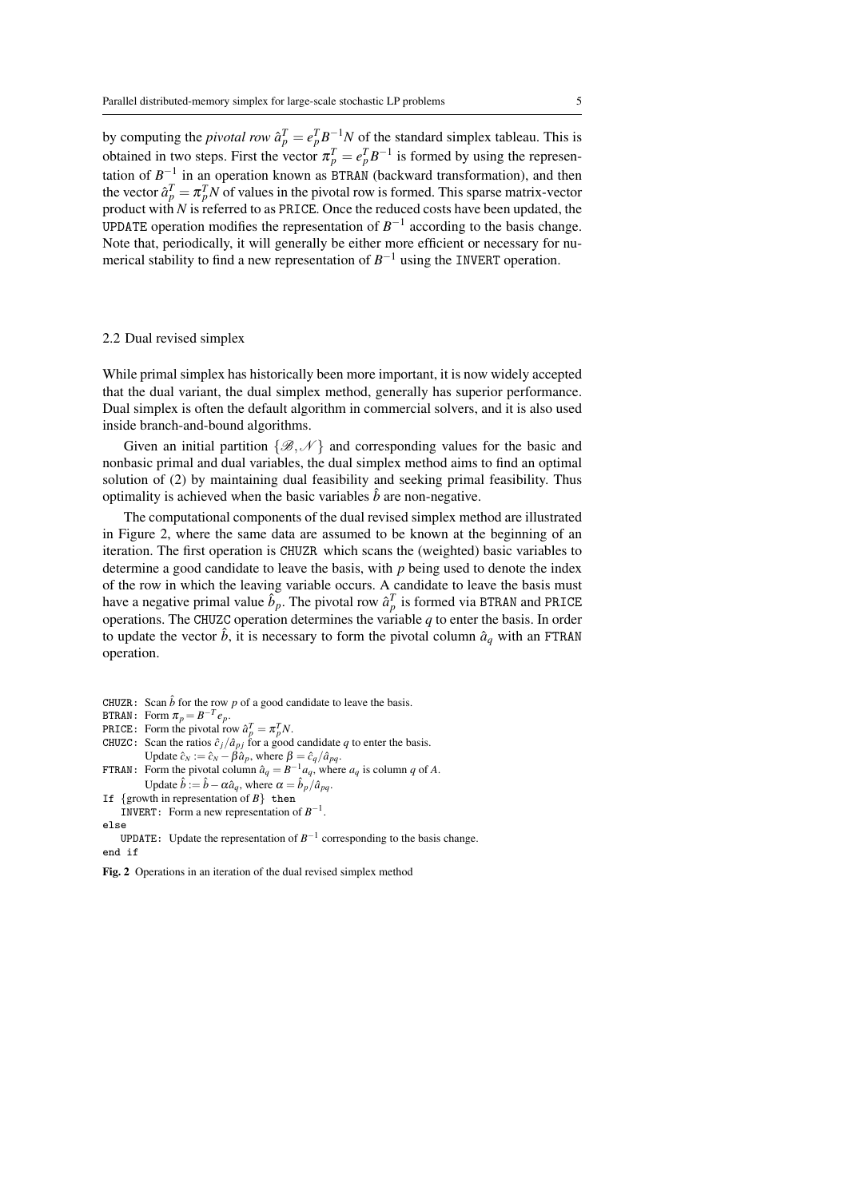by computing the *pivotal row*  $\hat{a}_p^T = e_p^T B^{-1} N$  of the standard simplex tableau. This is obtained in two steps. First the vector  $\pi_p^T = e_p^T B^{-1}$  is formed by using the representation of  $B^{-1}$  in an operation known as BTRAN (backward transformation), and then the vector  $\hat{a}_p^T = \pi_p^T N$  of values in the pivotal row is formed. This sparse matrix-vector product with *N* is referred to as PRICE. Once the reduced costs have been updated, the UPDATE operation modifies the representation of  $B^{-1}$  according to the basis change. Note that, periodically, it will generally be either more efficient or necessary for numerical stability to find a new representation of  $B^{-1}$  using the INVERT operation.

## 2.2 Dual revised simplex

While primal simplex has historically been more important, it is now widely accepted that the dual variant, the dual simplex method, generally has superior performance. Dual simplex is often the default algorithm in commercial solvers, and it is also used inside branch-and-bound algorithms.

Given an initial partition  $\{\mathscr{B}, \mathscr{N}\}\$  and corresponding values for the basic and nonbasic primal and dual variables, the dual simplex method aims to find an optimal solution of (2) by maintaining dual feasibility and seeking primal feasibility. Thus optimality is achieved when the basic variables  $\hat{b}$  are non-negative.

The computational components of the dual revised simplex method are illustrated in Figure 2, where the same data are assumed to be known at the beginning of an iteration. The first operation is CHUZR which scans the (weighted) basic variables to determine a good candidate to leave the basis, with *p* being used to denote the index of the row in which the leaving variable occurs. A candidate to leave the basis must have a negative primal value  $\hat{b}_p$ . The pivotal row  $\hat{a}_p^T$  is formed via BTRAN and PRICE operations. The CHUZC operation determines the variable *q* to enter the basis. In order to update the vector  $\hat{b}$ , it is necessary to form the pivotal column  $\hat{a}_q$  with an FTRAN operation.

CHUZR: Scan  $\hat{b}$  for the row  $p$  of a good candidate to leave the basis.

BTRAN: Form  $\pi_p = B^{-T}e_p$ .

```
PRICE: Form the pivotal row \hat{a}_p^T = \pi_p^T N.
```
- CHUZC: Scan the ratios  $\hat{c}_j/\hat{a}_{pj}$  for a good candidate q to enter the basis. Update  $\hat{c}_N := \hat{c}_N - \beta \hat{a}_p$ , where  $\beta = \hat{c}_q / \hat{a}_{pq}$ .
- FTRAN: Form the pivotal column  $\hat{a}_q = B^{-1} a_q$ , where  $a_q$  is column q of A. Update  $\hat{b} := \hat{b} - \alpha \hat{a}_q$ , where  $\alpha = \hat{b}_p / \hat{a}_{pq}$ .
- If  $\{$ growth in representation of  $B\}$  then **INVERT:** Form a new representation of  $B^{-1}$ .

else

**UPDATE:** Update the representation of  $B^{-1}$  corresponding to the basis change. end if

Fig. 2 Operations in an iteration of the dual revised simplex method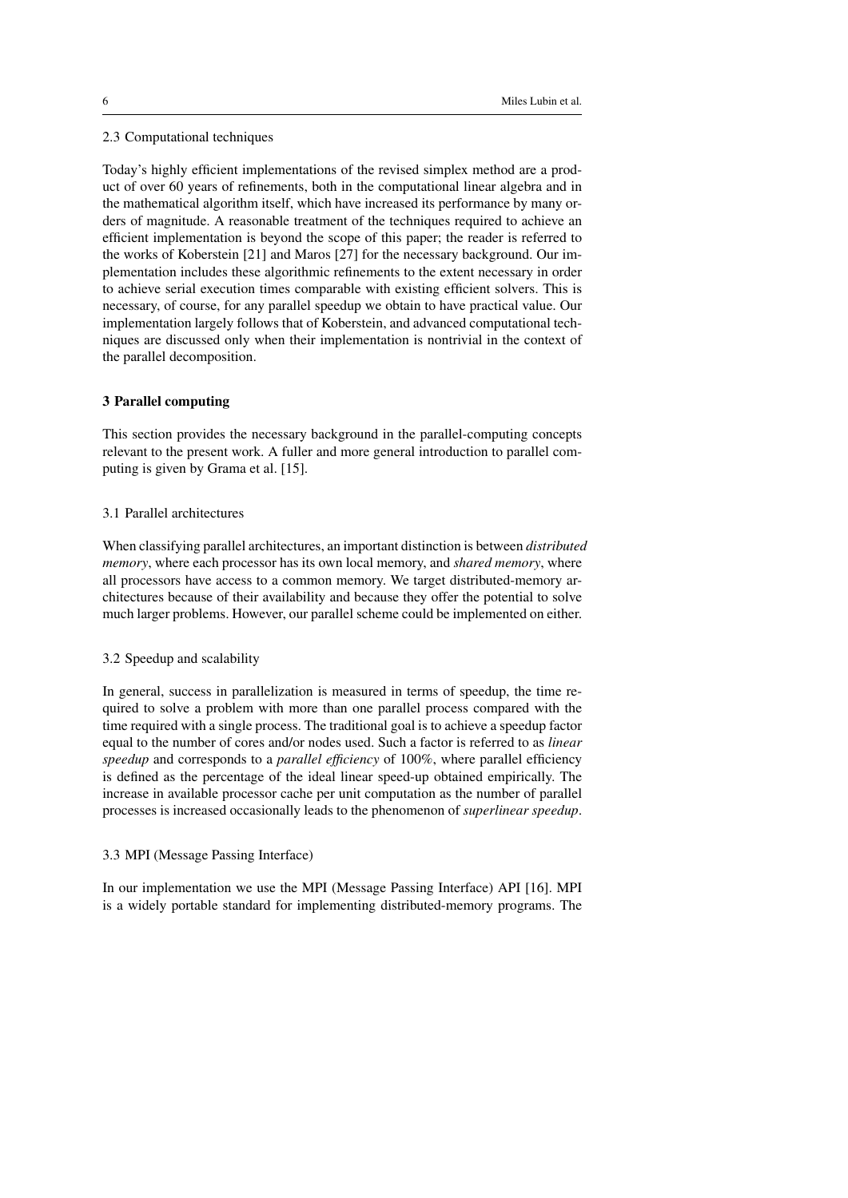## 2.3 Computational techniques

Today's highly efficient implementations of the revised simplex method are a product of over 60 years of refinements, both in the computational linear algebra and in the mathematical algorithm itself, which have increased its performance by many orders of magnitude. A reasonable treatment of the techniques required to achieve an efficient implementation is beyond the scope of this paper; the reader is referred to the works of Koberstein [21] and Maros [27] for the necessary background. Our implementation includes these algorithmic refinements to the extent necessary in order to achieve serial execution times comparable with existing efficient solvers. This is necessary, of course, for any parallel speedup we obtain to have practical value. Our implementation largely follows that of Koberstein, and advanced computational techniques are discussed only when their implementation is nontrivial in the context of the parallel decomposition.

## 3 Parallel computing

This section provides the necessary background in the parallel-computing concepts relevant to the present work. A fuller and more general introduction to parallel computing is given by Grama et al. [15].

## 3.1 Parallel architectures

When classifying parallel architectures, an important distinction is between *distributed memory*, where each processor has its own local memory, and *shared memory*, where all processors have access to a common memory. We target distributed-memory architectures because of their availability and because they offer the potential to solve much larger problems. However, our parallel scheme could be implemented on either.

## 3.2 Speedup and scalability

In general, success in parallelization is measured in terms of speedup, the time required to solve a problem with more than one parallel process compared with the time required with a single process. The traditional goal is to achieve a speedup factor equal to the number of cores and/or nodes used. Such a factor is referred to as *linear speedup* and corresponds to a *parallel efficiency* of 100%, where parallel efficiency is defined as the percentage of the ideal linear speed-up obtained empirically. The increase in available processor cache per unit computation as the number of parallel processes is increased occasionally leads to the phenomenon of *superlinear speedup*.

## 3.3 MPI (Message Passing Interface)

In our implementation we use the MPI (Message Passing Interface) API [16]. MPI is a widely portable standard for implementing distributed-memory programs. The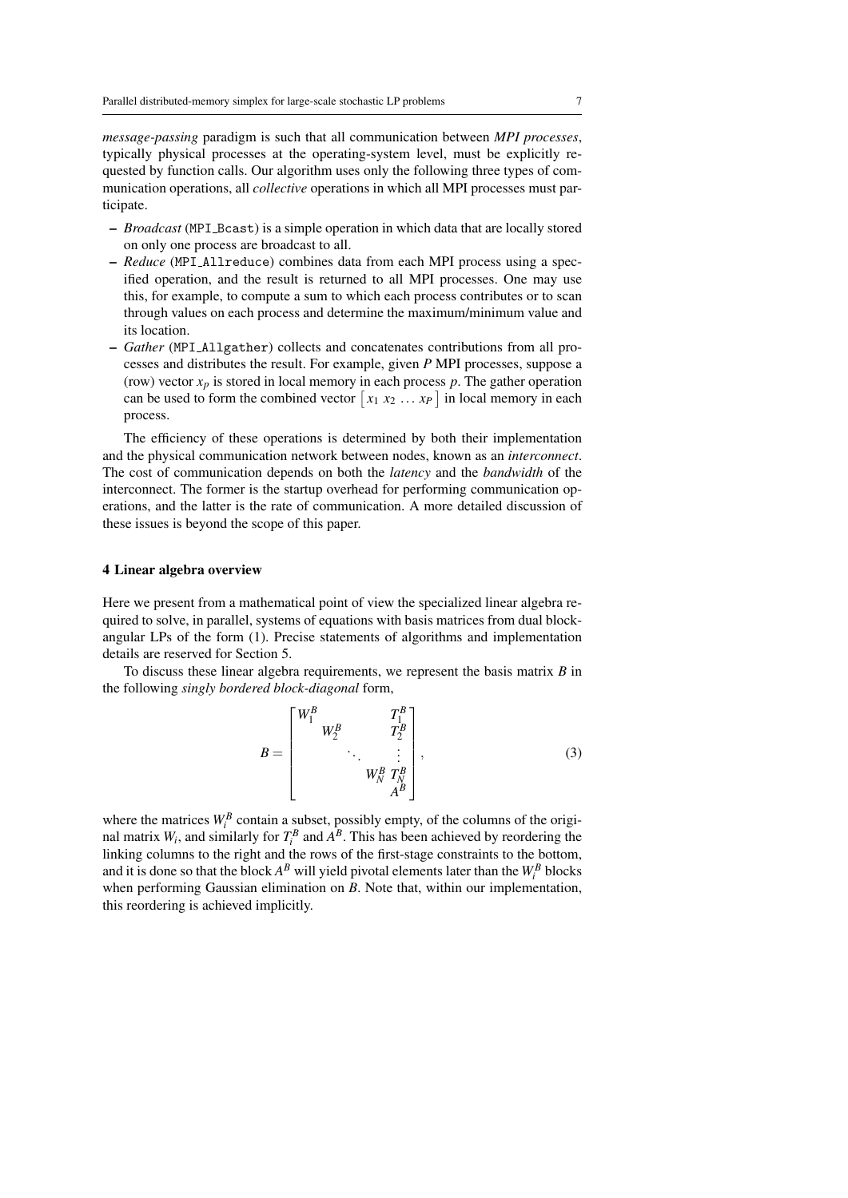*message-passing* paradigm is such that all communication between *MPI processes*, typically physical processes at the operating-system level, must be explicitly requested by function calls. Our algorithm uses only the following three types of communication operations, all *collective* operations in which all MPI processes must participate.

- *Broadcast* (MPI Bcast) is a simple operation in which data that are locally stored on only one process are broadcast to all.
- *Reduce* (MPI Allreduce) combines data from each MPI process using a specified operation, and the result is returned to all MPI processes. One may use this, for example, to compute a sum to which each process contributes or to scan through values on each process and determine the maximum/minimum value and its location.
- *Gather* (MPI Allgather) collects and concatenates contributions from all processes and distributes the result. For example, given *P* MPI processes, suppose a (row) vector  $x_p$  is stored in local memory in each process  $p$ . The gather operation can be used to form the combined vector  $\begin{bmatrix} x_1 & x_2 & \dots & x_p \end{bmatrix}$  in local memory in each process.

The efficiency of these operations is determined by both their implementation and the physical communication network between nodes, known as an *interconnect*. The cost of communication depends on both the *latency* and the *bandwidth* of the interconnect. The former is the startup overhead for performing communication operations, and the latter is the rate of communication. A more detailed discussion of these issues is beyond the scope of this paper.

## 4 Linear algebra overview

Here we present from a mathematical point of view the specialized linear algebra required to solve, in parallel, systems of equations with basis matrices from dual blockangular LPs of the form (1). Precise statements of algorithms and implementation details are reserved for Section 5.

To discuss these linear algebra requirements, we represent the basis matrix *B* in the following *singly bordered block-diagonal* form,

$$
B = \begin{bmatrix} W_1^B & & & T_1^B \\ & W_2^B & & T_2^B \\ & & \ddots & & \vdots \\ & & & W_N^B & T_N^B \\ & & & & A^B \end{bmatrix},
$$
 (3)

where the matrices  $W_i^B$  contain a subset, possibly empty, of the columns of the original matrix  $W_i$ , and similarly for  $T_i^B$  and  $A^B$ . This has been achieved by reordering the linking columns to the right and the rows of the first-stage constraints to the bottom, and it is done so that the block  $A^B$  will yield pivotal elements later than the  $W_i^B$  blocks when performing Gaussian elimination on *B*. Note that, within our implementation, this reordering is achieved implicitly.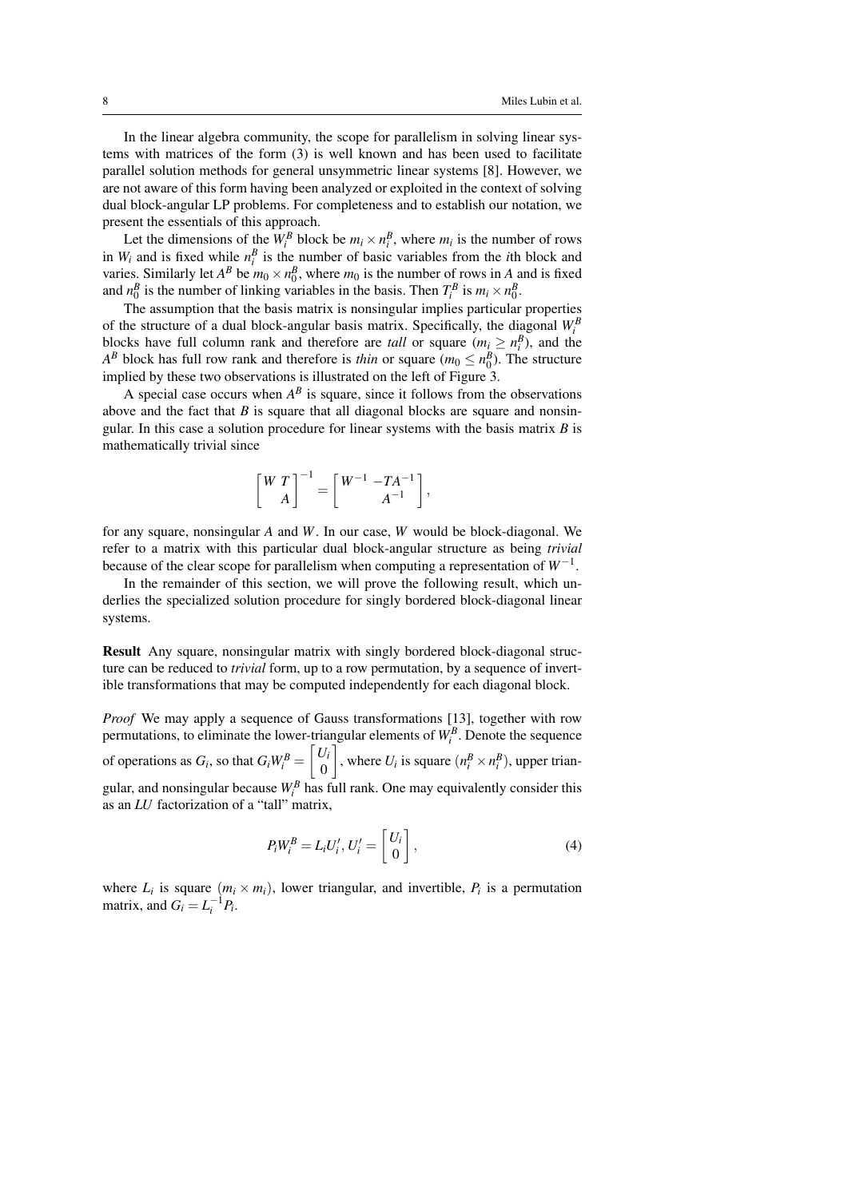In the linear algebra community, the scope for parallelism in solving linear systems with matrices of the form (3) is well known and has been used to facilitate parallel solution methods for general unsymmetric linear systems [8]. However, we are not aware of this form having been analyzed or exploited in the context of solving dual block-angular LP problems. For completeness and to establish our notation, we present the essentials of this approach.

Let the dimensions of the  $W_i^B$  block be  $m_i \times n_i^B$ , where  $m_i$  is the number of rows in  $W_i$  and is fixed while  $n_i^B$  is the number of basic variables from the *i*th block and varies. Similarly let  $A^B$  be  $m_0 \times n_0^B$ , where  $m_0$  is the number of rows in *A* and is fixed and  $n_0^B$  is the number of linking variables in the basis. Then  $T_i^B$  is  $m_i \times n_0^B$ .

The assumption that the basis matrix is nonsingular implies particular properties of the structure of a dual block-angular basis matrix. Specifically, the diagonal  $W_i^B$ blocks have full column rank and therefore are *tall* or square  $(m_i \ge n_i^B)$ , and the *A*<sup>*B*</sup> block has full row rank and therefore is *thin* or square ( $m_0 \le n_0^B$ ). The structure implied by these two observations is illustrated on the left of Figure 3.

A special case occurs when  $A^B$  is square, since it follows from the observations above and the fact that *B* is square that all diagonal blocks are square and nonsingular. In this case a solution procedure for linear systems with the basis matrix *B* is mathematically trivial since

$$
\begin{bmatrix} W T \\ A \end{bmatrix}^{-1} = \begin{bmatrix} W^{-1} & -TA^{-1} \\ A^{-1} \end{bmatrix},
$$

for any square, nonsingular *A* and *W*. In our case, *W* would be block-diagonal. We refer to a matrix with this particular dual block-angular structure as being *trivial* because of the clear scope for parallelism when computing a representation of *W*−<sup>1</sup> .

In the remainder of this section, we will prove the following result, which underlies the specialized solution procedure for singly bordered block-diagonal linear systems.

Result Any square, nonsingular matrix with singly bordered block-diagonal structure can be reduced to *trivial* form, up to a row permutation, by a sequence of invertible transformations that may be computed independently for each diagonal block.

*Proof* We may apply a sequence of Gauss transformations [13], together with row permutations, to eliminate the lower-triangular elements of  $W_i^B$ . Denote the sequence of operations as  $G_i$ , so that  $G_i W_i^B = \begin{bmatrix} U_i \\ 0 \end{bmatrix}$  $\boldsymbol{0}$ , where  $U_i$  is square  $(n_i^B \times n_i^B)$ , upper triangular, and nonsingular because  $W_i^B$  has full rank. One may equivalently consider this as an *LU* factorization of a "tall" matrix,

$$
P_i W_i^B = L_i U_i', U_i' = \begin{bmatrix} U_i \\ 0 \end{bmatrix}, \tag{4}
$$

where  $L_i$  is square  $(m_i \times m_i)$ , lower triangular, and invertible,  $P_i$  is a permutation matrix, and  $G_i = L_i^{-1} P_i$ .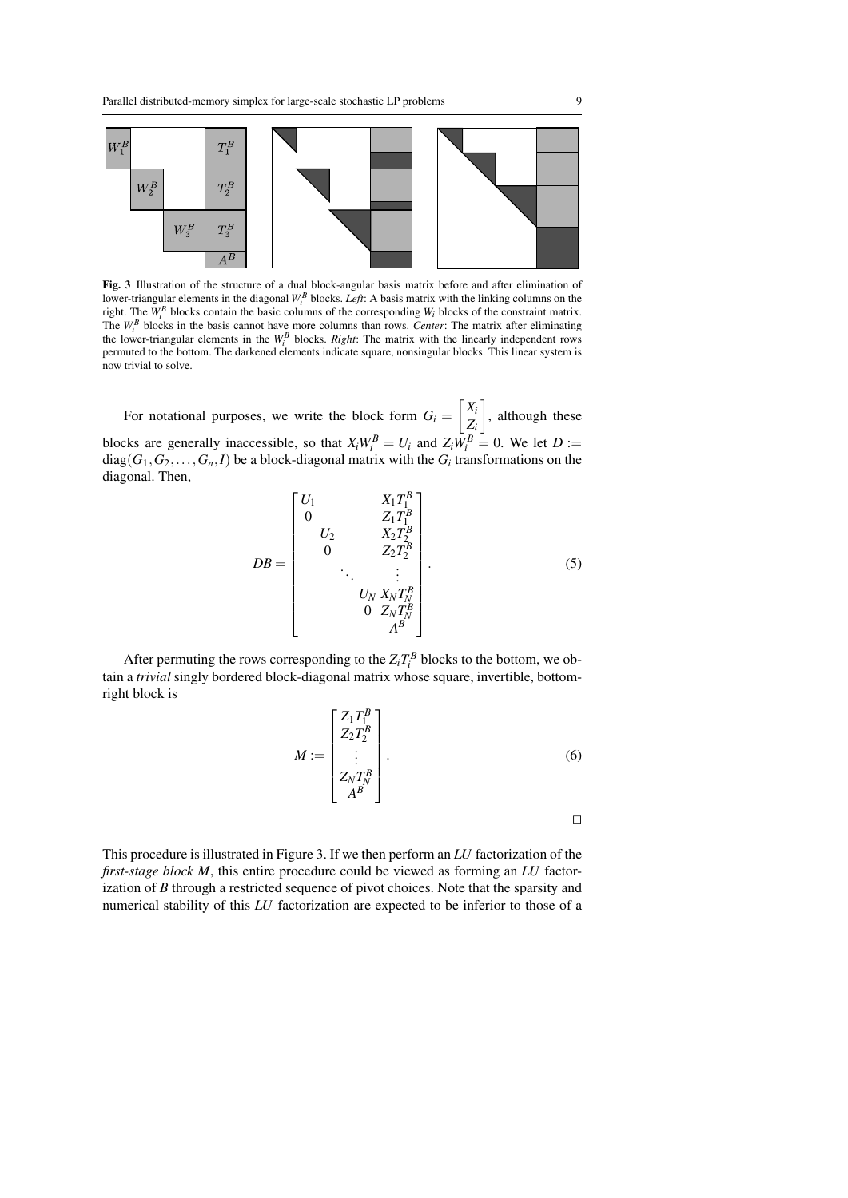

Fig. 3 Illustration of the structure of a dual block-angular basis matrix before and after elimination of lower-triangular elements in the diagonal  $W_i^B$  blocks. *Left*: A basis matrix with the linking columns on the right. The  $W_i^B$  blocks contain the basic columns of the corresponding  $W_i$  blocks of the constraint matrix. The  $W_i^B$  blocks in the basis cannot have more columns than rows. *Center*: The matrix after eliminating the lower-triangular elements in the  $W_i^B$  blocks. *Right*: The matrix with the linearly independent rows permuted to the bottom. The darkened elements indicate square, nonsingular blocks. This linear system is now trivial to solve.

For notational purposes, we write the block form  $G_i = \begin{bmatrix} X_i \\ Z_i \end{bmatrix}$ *Zi* , although these blocks are generally inaccessible, so that  $X_i W_i^B = U_i$  and  $Z_i W_i^B = 0$ . We let  $D :=$  $diag(G_1, G_2, \ldots, G_n, I)$  be a block-diagonal matrix with the  $G_i$  transformations on the diagonal. Then,

$$
DB = \begin{bmatrix} U_1 & X_1 T_1^B \\ 0 & Z_1 T_1^B \\ U_2 & X_2 T_2^B \\ 0 & Z_2 T_2^B \\ \vdots & \vdots & \vdots \\ U_N X_N T_N^B \\ 0 & Z_N T_N^B \\ 0 & Z_N T_N^B \\ A^B \end{bmatrix} .
$$
 (5)

After permuting the rows corresponding to the  $Z_iT_i^B$  blocks to the bottom, we obtain a *trivial* singly bordered block-diagonal matrix whose square, invertible, bottomright block is

$$
M := \begin{bmatrix} Z_1 T_1^B \\ Z_2 T_2^B \\ \vdots \\ Z_N T_N^B \\ A^B \end{bmatrix} .
$$
 (6)

 $\Box$ 

This procedure is illustrated in Figure 3. If we then perform an *LU* factorization of the *first-stage block M*, this entire procedure could be viewed as forming an *LU* factorization of *B* through a restricted sequence of pivot choices. Note that the sparsity and numerical stability of this *LU* factorization are expected to be inferior to those of a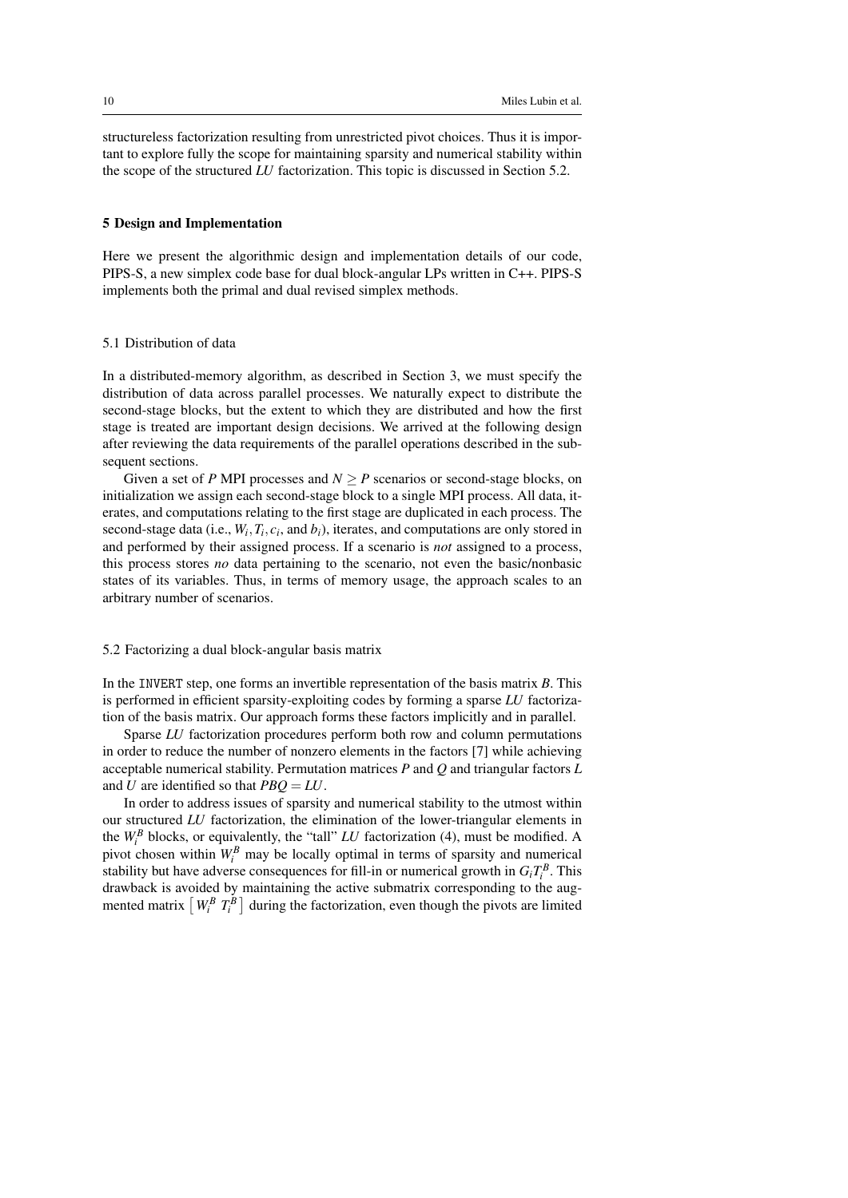structureless factorization resulting from unrestricted pivot choices. Thus it is important to explore fully the scope for maintaining sparsity and numerical stability within the scope of the structured *LU* factorization. This topic is discussed in Section 5.2.

## 5 Design and Implementation

Here we present the algorithmic design and implementation details of our code, PIPS-S, a new simplex code base for dual block-angular LPs written in C++. PIPS-S implements both the primal and dual revised simplex methods.

## 5.1 Distribution of data

In a distributed-memory algorithm, as described in Section 3, we must specify the distribution of data across parallel processes. We naturally expect to distribute the second-stage blocks, but the extent to which they are distributed and how the first stage is treated are important design decisions. We arrived at the following design after reviewing the data requirements of the parallel operations described in the subsequent sections.

Given a set of *P* MPI processes and  $N > P$  scenarios or second-stage blocks, on initialization we assign each second-stage block to a single MPI process. All data, iterates, and computations relating to the first stage are duplicated in each process. The second-stage data (i.e.,  $W_i$ ,  $T_i$ ,  $c_i$ , and  $b_i$ ), iterates, and computations are only stored in and performed by their assigned process. If a scenario is *not* assigned to a process, this process stores *no* data pertaining to the scenario, not even the basic/nonbasic states of its variables. Thus, in terms of memory usage, the approach scales to an arbitrary number of scenarios.

## 5.2 Factorizing a dual block-angular basis matrix

In the INVERT step, one forms an invertible representation of the basis matrix *B*. This is performed in efficient sparsity-exploiting codes by forming a sparse *LU* factorization of the basis matrix. Our approach forms these factors implicitly and in parallel.

Sparse *LU* factorization procedures perform both row and column permutations in order to reduce the number of nonzero elements in the factors [7] while achieving acceptable numerical stability. Permutation matrices *P* and *Q* and triangular factors *L* and *U* are identified so that *PBQ* = *LU*.

In order to address issues of sparsity and numerical stability to the utmost within our structured *LU* factorization, the elimination of the lower-triangular elements in the  $W_i^B$  blocks, or equivalently, the "tall" *LU* factorization (4), must be modified. A pivot chosen within  $W_i^B$  may be locally optimal in terms of sparsity and numerical stability but have adverse consequences for fill-in or numerical growth in  $G_i T_i^B$ . This drawback is avoided by maintaining the active submatrix corresponding to the augmented matrix  $\left[W_i^B T_i^B\right]$  during the factorization, even though the pivots are limited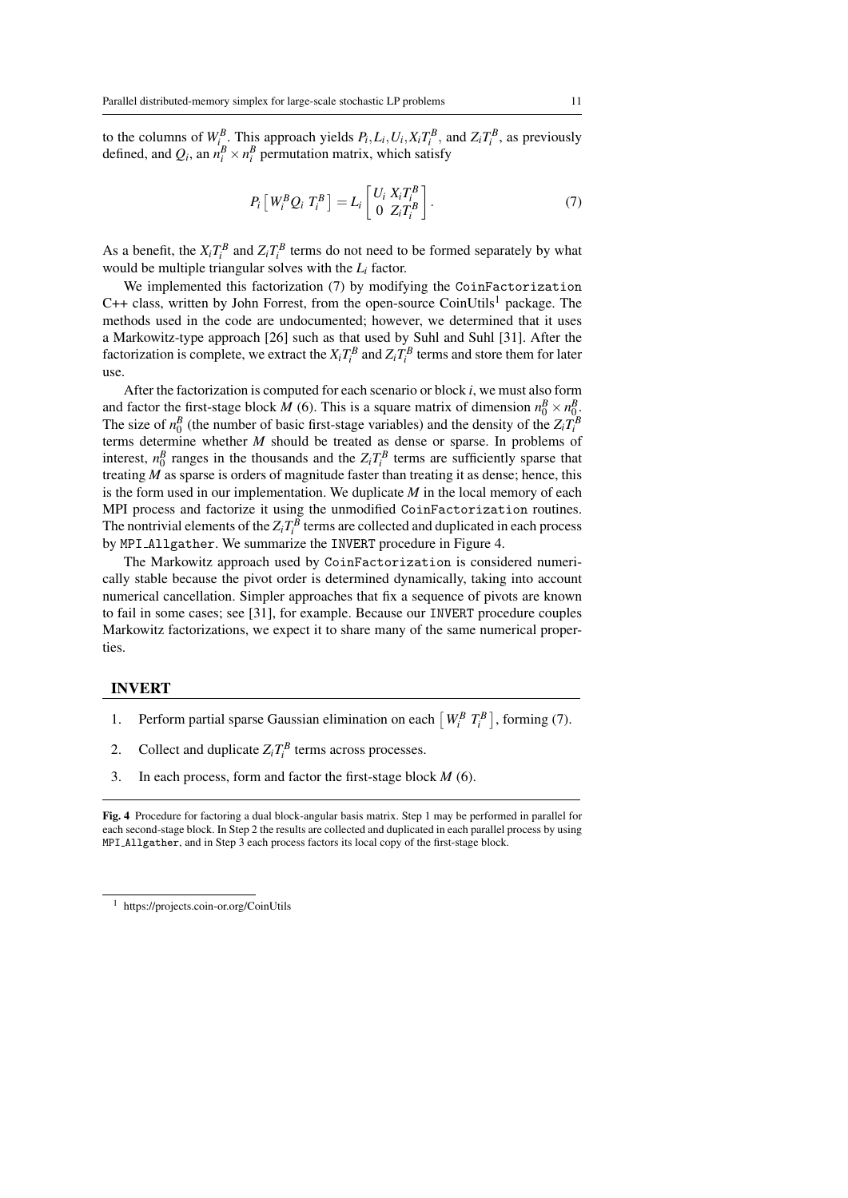to the columns of  $W_{i_n}^B$ . This approach yields  $P_i, L_i, U_i, X_i T_i^B$ , and  $Z_i T_i^B$ , as previously defined, and  $Q_i$ , an  $n_i^B \times n_i^B$  permutation matrix, which satisfy

$$
P_i\left[W_i^B Q_i T_i^B\right] = L_i\left[\begin{array}{c} U_i X_i T_i^B \\ 0 Z_i T_i^B \end{array}\right].\tag{7}
$$

As a benefit, the  $X_i T_i^B$  and  $Z_i T_i^B$  terms do not need to be formed separately by what would be multiple triangular solves with the *L<sup>i</sup>* factor.

We implemented this factorization (7) by modifying the CoinFactorization  $C++$  class, written by John Forrest, from the open-source CoinUtils<sup>1</sup> package. The methods used in the code are undocumented; however, we determined that it uses a Markowitz-type approach [26] such as that used by Suhl and Suhl [31]. After the factorization is complete, we extract the  $X_i T_i^B$  and  $Z_i T_i^B$  terms and store them for later use.

After the factorization is computed for each scenario or block *i*, we must also form and factor the first-stage block *M* (6). This is a square matrix of dimension  $n_0^B \times n_0^B$ . The size of  $n_0^B$  (the number of basic first-stage variables) and the density of the  $Z_i T_i^B$ terms determine whether *M* should be treated as dense or sparse. In problems of interest,  $n_0^B$  ranges in the thousands and the  $Z_i T_i^B$  terms are sufficiently sparse that treating *M* as sparse is orders of magnitude faster than treating it as dense; hence, this is the form used in our implementation. We duplicate *M* in the local memory of each MPI process and factorize it using the unmodified CoinFactorization routines. The nontrivial elements of the  $Z_iT_i^B$  terms are collected and duplicated in each process by MPI Allgather. We summarize the INVERT procedure in Figure 4.

The Markowitz approach used by CoinFactorization is considered numerically stable because the pivot order is determined dynamically, taking into account numerical cancellation. Simpler approaches that fix a sequence of pivots are known to fail in some cases; see [31], for example. Because our INVERT procedure couples Markowitz factorizations, we expect it to share many of the same numerical properties.

## INVERT

- 1. Perform partial sparse Gaussian elimination on each  $\left[W_i^B T_i^B\right]$ , forming (7).
- 2. Collect and duplicate  $Z_i T_i^B$  terms across processes.
- 3. In each process, form and factor the first-stage block *M* (6).

Fig. 4 Procedure for factoring a dual block-angular basis matrix. Step 1 may be performed in parallel for each second-stage block. In Step 2 the results are collected and duplicated in each parallel process by using MPI Allgather, and in Step 3 each process factors its local copy of the first-stage block.

<sup>1</sup> https://projects.coin-or.org/CoinUtils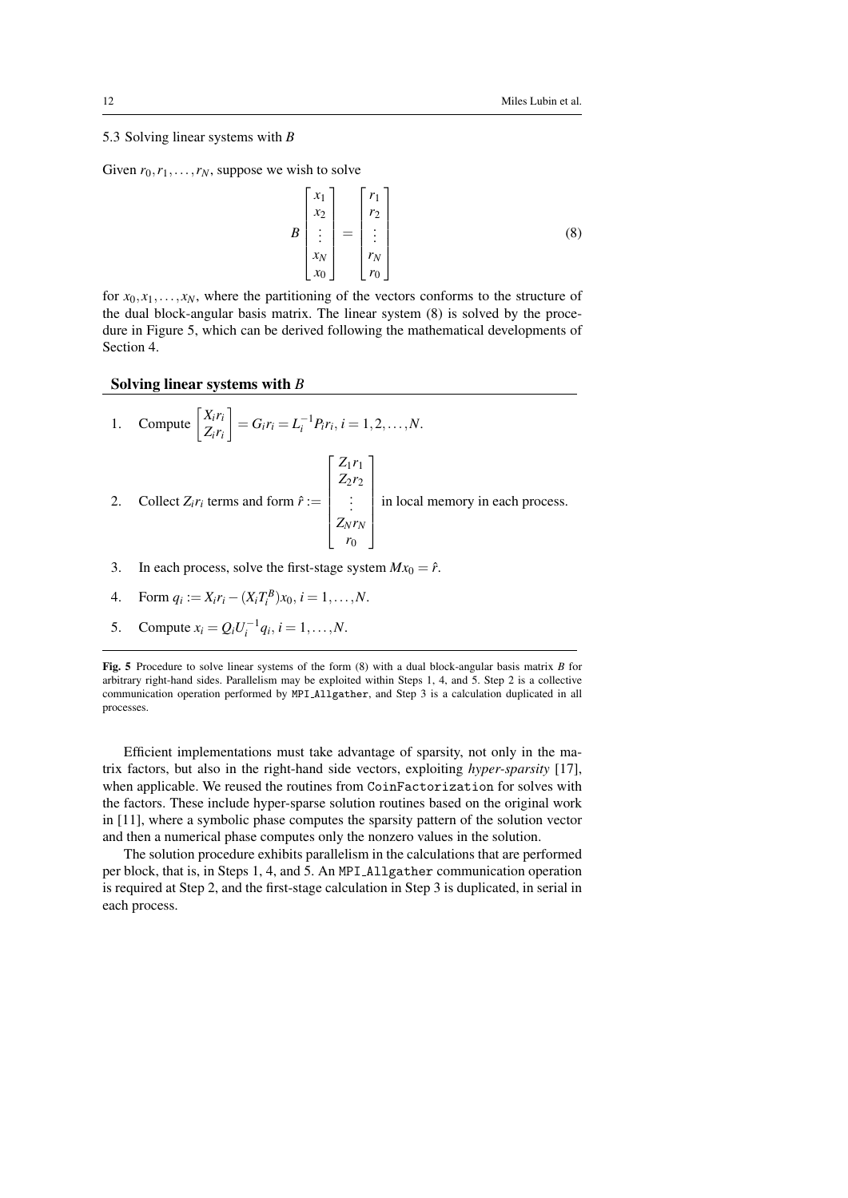## 5.3 Solving linear systems with *B*

Given  $r_0, r_1, \ldots, r_N$ , suppose we wish to solve

$$
B\begin{bmatrix} x_1 \\ x_2 \\ \vdots \\ x_N \\ x_0 \end{bmatrix} = \begin{bmatrix} r_1 \\ r_2 \\ \vdots \\ r_N \\ r_0 \end{bmatrix}
$$
 (8)

for  $x_0, x_1, \ldots, x_N$ , where the partitioning of the vectors conforms to the structure of the dual block-angular basis matrix. The linear system (8) is solved by the procedure in Figure 5, which can be derived following the mathematical developments of Section 4.

## Solving linear systems with *B*

1. Compute 
$$
\begin{bmatrix} X_ir_i \\ Z_ir_i \end{bmatrix} = G_ir_i = L_i^{-1}P_ir_i, i = 1, 2, ..., N.
$$
  
\n2. Collect  $Z_ir_i$  terms and form  $\hat{r} := \begin{bmatrix} Z_1r_1 \\ Z_2r_2 \\ \vdots \\ Z_Nr_N \\ r_0 \end{bmatrix}$  in local memory in each process.

3. In each process, solve the first-stage system  $Mx_0 = \hat{r}$ .

4. Form 
$$
q_i := X_i r_i - (X_i T_i^B) x_0, i = 1, ..., N
$$
.

5. Compute 
$$
x_i = Q_i U_i^{-1} q_i
$$
,  $i = 1, ..., N$ .

Fig. 5 Procedure to solve linear systems of the form (8) with a dual block-angular basis matrix *B* for arbitrary right-hand sides. Parallelism may be exploited within Steps 1, 4, and 5. Step 2 is a collective communication operation performed by MPI Allgather, and Step 3 is a calculation duplicated in all processes.

Efficient implementations must take advantage of sparsity, not only in the matrix factors, but also in the right-hand side vectors, exploiting *hyper-sparsity* [17], when applicable. We reused the routines from CoinFactorization for solves with the factors. These include hyper-sparse solution routines based on the original work in [11], where a symbolic phase computes the sparsity pattern of the solution vector and then a numerical phase computes only the nonzero values in the solution.

The solution procedure exhibits parallelism in the calculations that are performed per block, that is, in Steps 1, 4, and 5. An MPI Allgather communication operation is required at Step 2, and the first-stage calculation in Step 3 is duplicated, in serial in each process.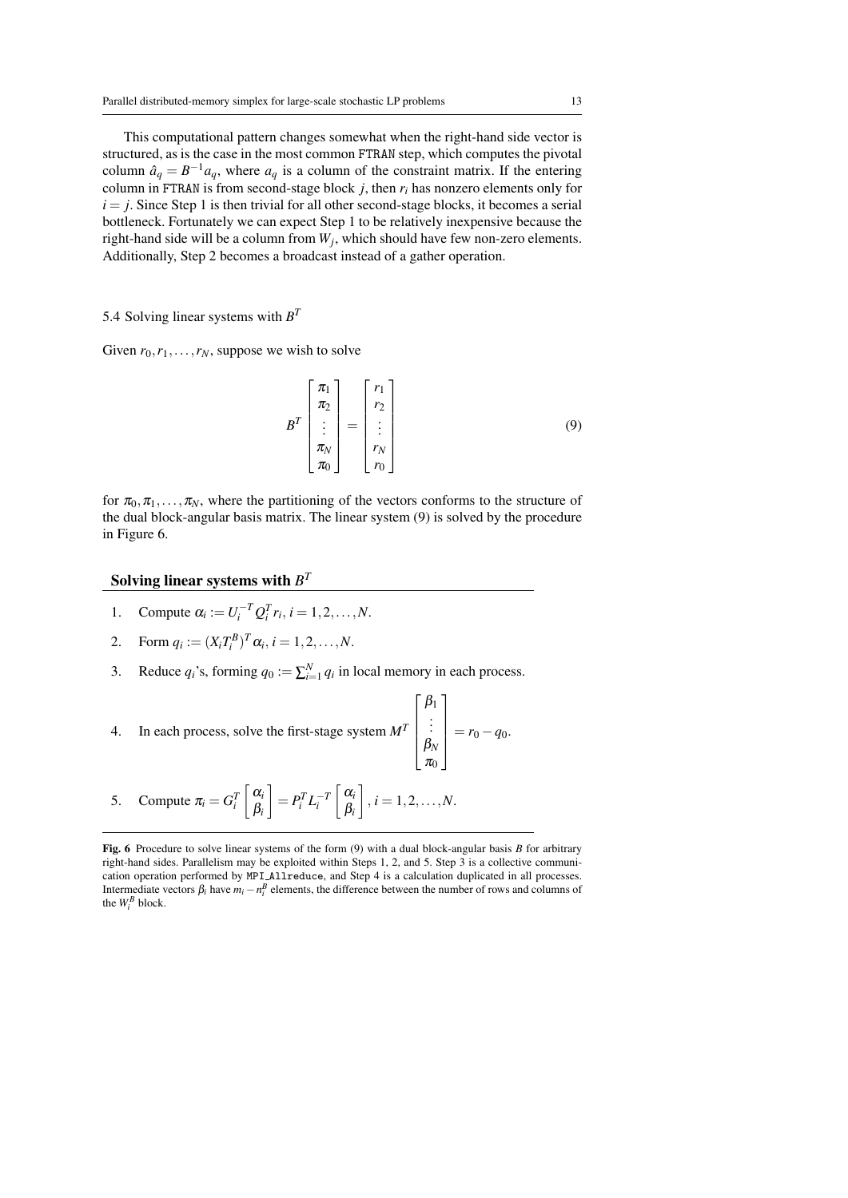This computational pattern changes somewhat when the right-hand side vector is structured, as is the case in the most common FTRAN step, which computes the pivotal column  $\hat{a}_q = B^{-1}a_q$ , where  $a_q$  is a column of the constraint matrix. If the entering column in FTRAN is from second-stage block  $j$ , then  $r_i$  has nonzero elements only for  $i = j$ . Since Step 1 is then trivial for all other second-stage blocks, it becomes a serial bottleneck. Fortunately we can expect Step 1 to be relatively inexpensive because the right-hand side will be a column from *W<sup>j</sup>* , which should have few non-zero elements. Additionally, Step 2 becomes a broadcast instead of a gather operation.

# 5.4 Solving linear systems with *B T*

Given  $r_0, r_1, \ldots, r_N$ , suppose we wish to solve

$$
B^{T} \begin{bmatrix} \pi_1 \\ \pi_2 \\ \vdots \\ \pi_N \\ \pi_0 \end{bmatrix} = \begin{bmatrix} r_1 \\ r_2 \\ \vdots \\ r_N \\ r_0 \end{bmatrix}
$$
 (9)

for  $\pi_0, \pi_1, \ldots, \pi_N$ , where the partitioning of the vectors conforms to the structure of the dual block-angular basis matrix. The linear system (9) is solved by the procedure in Figure 6.

# Solving linear systems with  $B^T$

- 1. Compute  $\alpha_i := U_i^{-T} Q_i^T r_i, i = 1, 2, ..., N$ .
- 2. Form  $q_i := (X_i T_i^B)^T \alpha_i, i = 1, 2, ..., N$ .
- 3. Reduce  $q_i$ 's, forming  $q_0 := \sum_{i=1}^{N} q_i$  in local memory in each process.

4. In each process, solve the first-stage system 
$$
M^T
$$
 
$$
\begin{bmatrix} \beta_1 \\ \vdots \\ \beta_N \\ \pi_0 \end{bmatrix} = r_0 - q_0.
$$

5. Compute  $\pi_i = G_i^T$  $\int \alpha_i$ β*i*  $\left[{}^{\phantom{T}}\right] = P_i^T L_i^{-T}$  $\int \alpha_i$ β*i*  $\Big]$ ,  $i = 1, 2, ..., N$ .

Fig. 6 Procedure to solve linear systems of the form (9) with a dual block-angular basis *B* for arbitrary right-hand sides. Parallelism may be exploited within Steps 1, 2, and 5. Step 3 is a collective communication operation performed by MPI Allreduce, and Step 4 is a calculation duplicated in all processes. Intermediate vectors  $\beta_i$  have  $m_i - n_i^B$  elements, the difference between the number of rows and columns of the  $W_i^B$  block.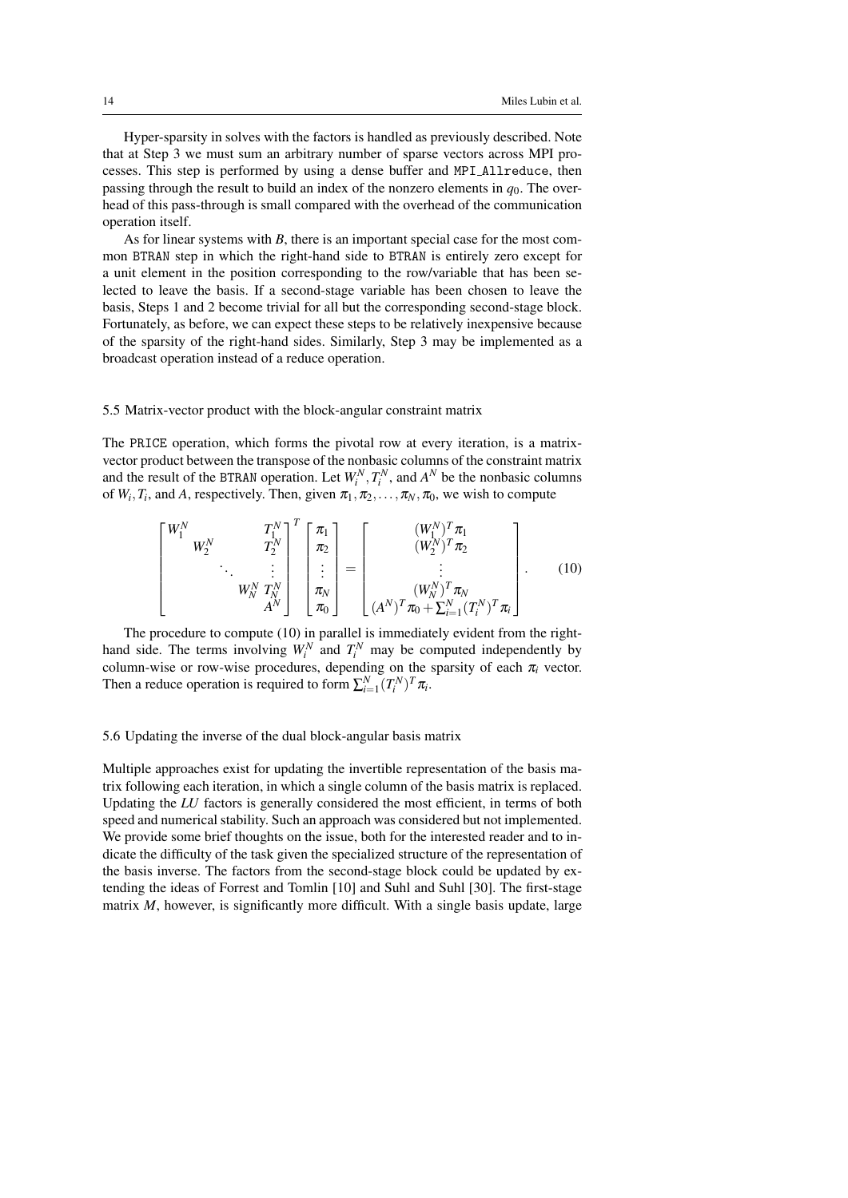Hyper-sparsity in solves with the factors is handled as previously described. Note that at Step 3 we must sum an arbitrary number of sparse vectors across MPI processes. This step is performed by using a dense buffer and MPI Allreduce, then passing through the result to build an index of the nonzero elements in  $q_0$ . The overhead of this pass-through is small compared with the overhead of the communication operation itself.

As for linear systems with *B*, there is an important special case for the most common BTRAN step in which the right-hand side to BTRAN is entirely zero except for a unit element in the position corresponding to the row/variable that has been selected to leave the basis. If a second-stage variable has been chosen to leave the basis, Steps 1 and 2 become trivial for all but the corresponding second-stage block. Fortunately, as before, we can expect these steps to be relatively inexpensive because of the sparsity of the right-hand sides. Similarly, Step 3 may be implemented as a broadcast operation instead of a reduce operation.

## 5.5 Matrix-vector product with the block-angular constraint matrix

The PRICE operation, which forms the pivotal row at every iteration, is a matrixvector product between the transpose of the nonbasic columns of the constraint matrix and the result of the BTRAN operation. Let  $W_i^N, T_i^N$ , and  $A^N$  be the nonbasic columns of  $W_i$ ,  $T_i$ , and  $A$ , respectively. Then, given  $\pi_1, \pi_2, \ldots, \pi_N, \pi_0$ , we wish to compute

$$
\begin{bmatrix} W_1^N & T_1^N \ W_2^N & T_2^N \ \vdots & \vdots & \vdots \ W_N^N & T_N^N \ A^N \end{bmatrix}^T \begin{bmatrix} \pi_1 \\ \pi_2 \\ \vdots \\ \pi_N \end{bmatrix} = \begin{bmatrix} (W_1^N)^T \pi_1 \\ (W_2^N)^T \pi_2 \\ \vdots \\ (W_N^N)^T \pi_N \\ (W_N^N)^T \pi_0 + \sum_{i=1}^N (T_i^N)^T \pi_i \end{bmatrix} . \tag{10}
$$

The procedure to compute (10) in parallel is immediately evident from the righthand side. The terms involving  $W_i^N$  and  $T_i^N$  may be computed independently by column-wise or row-wise procedures, depending on the sparsity of each  $\pi$ <sub>*i*</sub> vector. Then a reduce operation is required to form  $\sum_{i=1}^{N} (T_i^N)^T \pi_i$ .

### 5.6 Updating the inverse of the dual block-angular basis matrix

Multiple approaches exist for updating the invertible representation of the basis matrix following each iteration, in which a single column of the basis matrix is replaced. Updating the *LU* factors is generally considered the most efficient, in terms of both speed and numerical stability. Such an approach was considered but not implemented. We provide some brief thoughts on the issue, both for the interested reader and to indicate the difficulty of the task given the specialized structure of the representation of the basis inverse. The factors from the second-stage block could be updated by extending the ideas of Forrest and Tomlin [10] and Suhl and Suhl [30]. The first-stage matrix *M*, however, is significantly more difficult. With a single basis update, large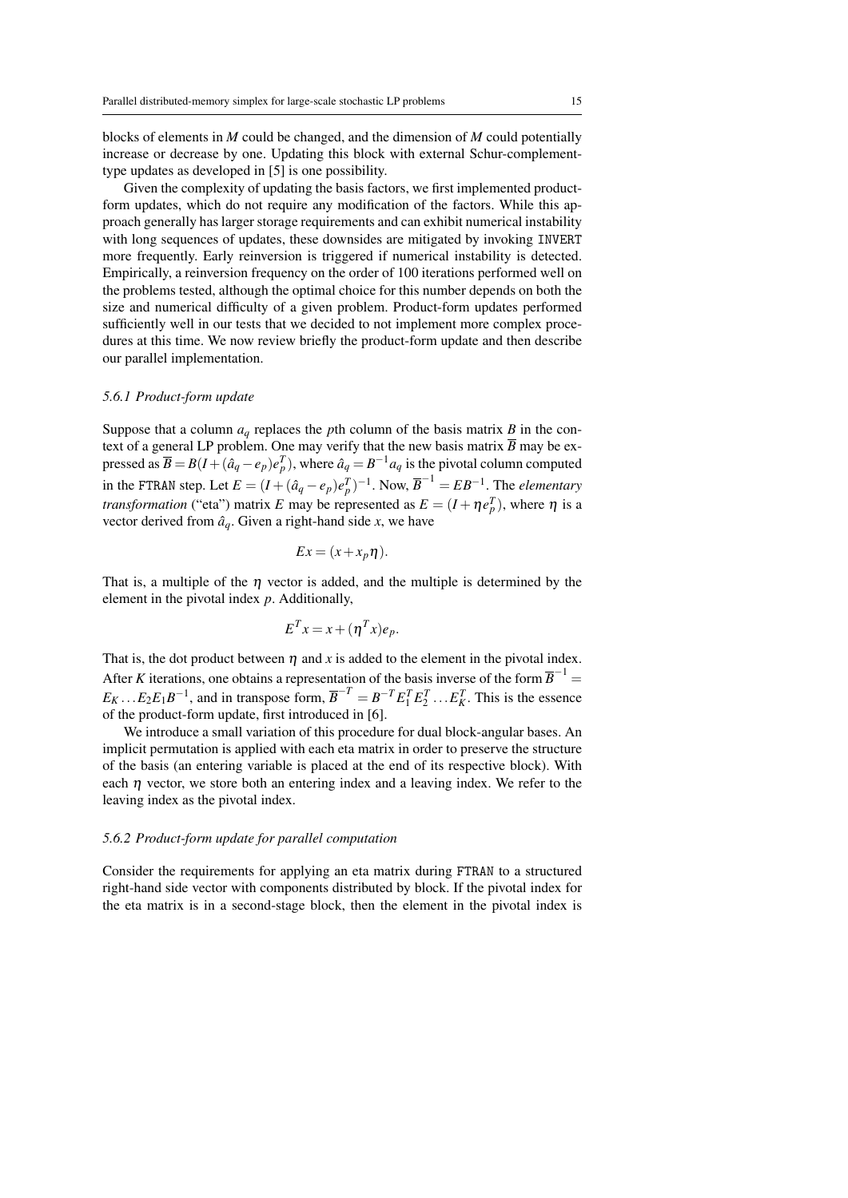blocks of elements in *M* could be changed, and the dimension of *M* could potentially increase or decrease by one. Updating this block with external Schur-complementtype updates as developed in [5] is one possibility.

Given the complexity of updating the basis factors, we first implemented productform updates, which do not require any modification of the factors. While this approach generally has larger storage requirements and can exhibit numerical instability with long sequences of updates, these downsides are mitigated by invoking INVERT more frequently. Early reinversion is triggered if numerical instability is detected. Empirically, a reinversion frequency on the order of 100 iterations performed well on the problems tested, although the optimal choice for this number depends on both the size and numerical difficulty of a given problem. Product-form updates performed sufficiently well in our tests that we decided to not implement more complex procedures at this time. We now review briefly the product-form update and then describe our parallel implementation.

## *5.6.1 Product-form update*

Suppose that a column  $a<sub>q</sub>$  replaces the *p*th column of the basis matrix *B* in the context of a general LP problem. One may verify that the new basis matrix  $\overline{B}$  may be expressed as  $\overline{B} = B(I + (\hat{a}_q - e_p)e_p^T)$ , where  $\hat{a}_q = B^{-1}a_q$  is the pivotal column computed in the FTRAN step. Let  $E = (I + (\hat{a}_q - e_p)e_p^T)^{-1}$ . Now,  $\overline{B}^{-1} = EB^{-1}$ . The *elementary transformation* ("eta") matrix *E* may be represented as  $E = (I + \eta e_p^T)$ , where  $\eta$  is a vector derived from  $\hat{a}_q$ . Given a right-hand side *x*, we have

$$
Ex = (x + x_p \eta).
$$

That is, a multiple of the  $\eta$  vector is added, and the multiple is determined by the element in the pivotal index *p*. Additionally,

$$
E^T x = x + (\eta^T x) e_p.
$$

That is, the dot product between  $\eta$  and x is added to the element in the pivotal index. After *K* iterations, one obtains a representation of the basis inverse of the form  $\overline{B}^{-1}$  =  $E_K \dots E_2 E_1 B^{-1}$ , and in transpose form,  $\overline{B}^{-T} = B^{-T} E_1^T E_2^T \dots E_K^T$ . This is the essence of the product-form update, first introduced in [6].

We introduce a small variation of this procedure for dual block-angular bases. An implicit permutation is applied with each eta matrix in order to preserve the structure of the basis (an entering variable is placed at the end of its respective block). With each  $\eta$  vector, we store both an entering index and a leaving index. We refer to the leaving index as the pivotal index.

### *5.6.2 Product-form update for parallel computation*

Consider the requirements for applying an eta matrix during FTRAN to a structured right-hand side vector with components distributed by block. If the pivotal index for the eta matrix is in a second-stage block, then the element in the pivotal index is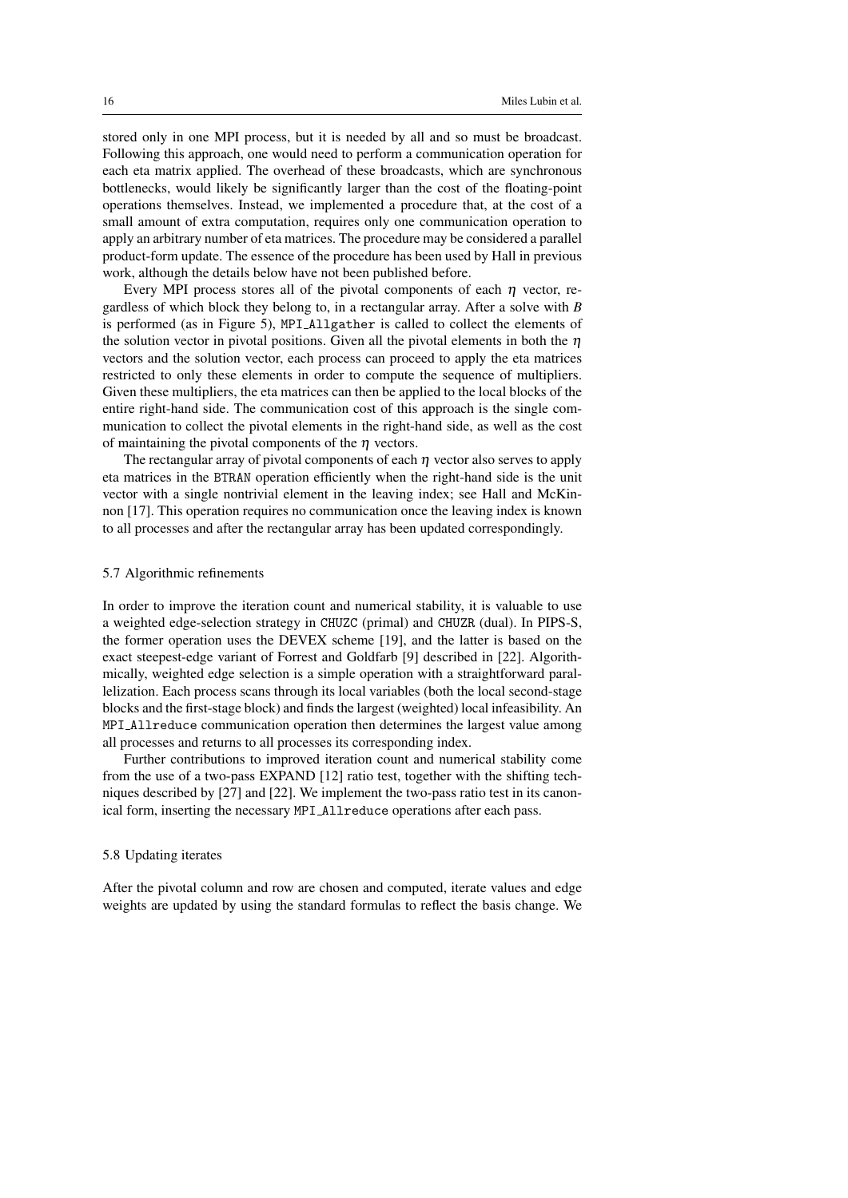stored only in one MPI process, but it is needed by all and so must be broadcast. Following this approach, one would need to perform a communication operation for each eta matrix applied. The overhead of these broadcasts, which are synchronous bottlenecks, would likely be significantly larger than the cost of the floating-point operations themselves. Instead, we implemented a procedure that, at the cost of a small amount of extra computation, requires only one communication operation to apply an arbitrary number of eta matrices. The procedure may be considered a parallel product-form update. The essence of the procedure has been used by Hall in previous work, although the details below have not been published before.

Every MPI process stores all of the pivotal components of each  $\eta$  vector, regardless of which block they belong to, in a rectangular array. After a solve with *B* is performed (as in Figure 5), MPI Allgather is called to collect the elements of the solution vector in pivotal positions. Given all the pivotal elements in both the  $\eta$ vectors and the solution vector, each process can proceed to apply the eta matrices restricted to only these elements in order to compute the sequence of multipliers. Given these multipliers, the eta matrices can then be applied to the local blocks of the entire right-hand side. The communication cost of this approach is the single communication to collect the pivotal elements in the right-hand side, as well as the cost of maintaining the pivotal components of the  $\eta$  vectors.

The rectangular array of pivotal components of each  $\eta$  vector also serves to apply eta matrices in the BTRAN operation efficiently when the right-hand side is the unit vector with a single nontrivial element in the leaving index; see Hall and McKinnon [17]. This operation requires no communication once the leaving index is known to all processes and after the rectangular array has been updated correspondingly.

### 5.7 Algorithmic refinements

In order to improve the iteration count and numerical stability, it is valuable to use a weighted edge-selection strategy in CHUZC (primal) and CHUZR (dual). In PIPS-S, the former operation uses the DEVEX scheme [19], and the latter is based on the exact steepest-edge variant of Forrest and Goldfarb [9] described in [22]. Algorithmically, weighted edge selection is a simple operation with a straightforward parallelization. Each process scans through its local variables (both the local second-stage blocks and the first-stage block) and finds the largest (weighted) local infeasibility. An MPI Allreduce communication operation then determines the largest value among all processes and returns to all processes its corresponding index.

Further contributions to improved iteration count and numerical stability come from the use of a two-pass EXPAND [12] ratio test, together with the shifting techniques described by [27] and [22]. We implement the two-pass ratio test in its canonical form, inserting the necessary MPI Allreduce operations after each pass.

### 5.8 Updating iterates

After the pivotal column and row are chosen and computed, iterate values and edge weights are updated by using the standard formulas to reflect the basis change. We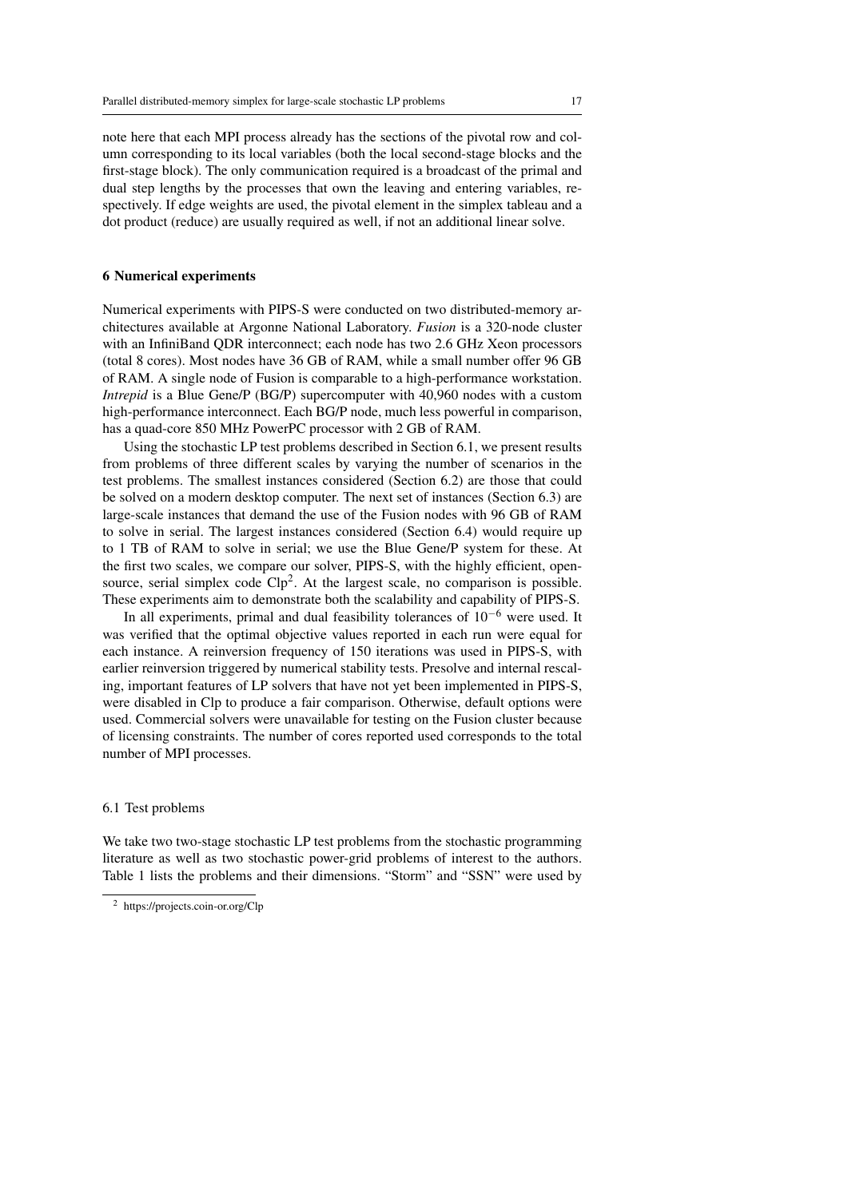note here that each MPI process already has the sections of the pivotal row and column corresponding to its local variables (both the local second-stage blocks and the first-stage block). The only communication required is a broadcast of the primal and dual step lengths by the processes that own the leaving and entering variables, respectively. If edge weights are used, the pivotal element in the simplex tableau and a dot product (reduce) are usually required as well, if not an additional linear solve.

## 6 Numerical experiments

Numerical experiments with PIPS-S were conducted on two distributed-memory architectures available at Argonne National Laboratory. *Fusion* is a 320-node cluster with an InfiniBand QDR interconnect; each node has two 2.6 GHz Xeon processors (total 8 cores). Most nodes have 36 GB of RAM, while a small number offer 96 GB of RAM. A single node of Fusion is comparable to a high-performance workstation. *Intrepid* is a Blue Gene/P (BG/P) supercomputer with 40,960 nodes with a custom high-performance interconnect. Each BG/P node, much less powerful in comparison, has a quad-core 850 MHz PowerPC processor with 2 GB of RAM.

Using the stochastic LP test problems described in Section 6.1, we present results from problems of three different scales by varying the number of scenarios in the test problems. The smallest instances considered (Section 6.2) are those that could be solved on a modern desktop computer. The next set of instances (Section 6.3) are large-scale instances that demand the use of the Fusion nodes with 96 GB of RAM to solve in serial. The largest instances considered (Section 6.4) would require up to 1 TB of RAM to solve in serial; we use the Blue Gene/P system for these. At the first two scales, we compare our solver, PIPS-S, with the highly efficient, opensource, serial simplex code  $Clp<sup>2</sup>$ . At the largest scale, no comparison is possible. These experiments aim to demonstrate both the scalability and capability of PIPS-S.

In all experiments, primal and dual feasibility tolerances of  $10^{-6}$  were used. It was verified that the optimal objective values reported in each run were equal for each instance. A reinversion frequency of 150 iterations was used in PIPS-S, with earlier reinversion triggered by numerical stability tests. Presolve and internal rescaling, important features of LP solvers that have not yet been implemented in PIPS-S, were disabled in Clp to produce a fair comparison. Otherwise, default options were used. Commercial solvers were unavailable for testing on the Fusion cluster because of licensing constraints. The number of cores reported used corresponds to the total number of MPI processes.

### 6.1 Test problems

We take two two-stage stochastic LP test problems from the stochastic programming literature as well as two stochastic power-grid problems of interest to the authors. Table 1 lists the problems and their dimensions. "Storm" and "SSN" were used by

<sup>2</sup> https://projects.coin-or.org/Clp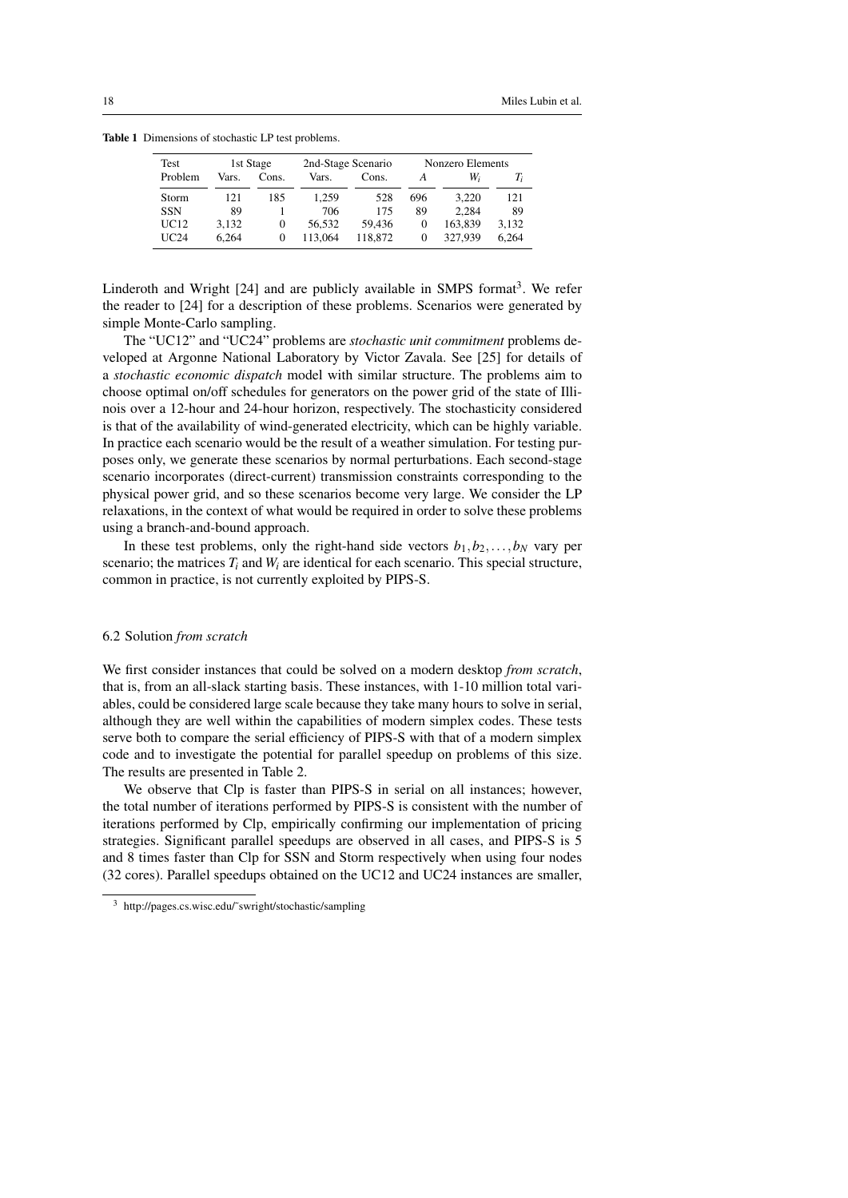| Test       | 1st Stage |          | 2nd-Stage Scenario |         | Nonzero Elements |         |       |
|------------|-----------|----------|--------------------|---------|------------------|---------|-------|
| Problem    | Vars.     | Cons.    | Vars.              | Cons.   |                  | W,      | T,    |
| Storm      | 121       | 185      | 1.259              | 528     | 696              | 3.220   | 121   |
| <b>SSN</b> | 89        |          | 706                | 175     | 89               | 2.284   | 89    |
| UC12       | 3.132     | $\Omega$ | 56.532             | 59.436  | $\theta$         | 163.839 | 3.132 |
| UC24       | 6.264     | 0        | 113.064            | 118.872 | $\theta$         | 327.939 | 6.264 |

Table 1 Dimensions of stochastic LP test problems.

Linderoth and Wright [24] and are publicly available in SMPS format<sup>3</sup>. We refer the reader to [24] for a description of these problems. Scenarios were generated by simple Monte-Carlo sampling.

The "UC12" and "UC24" problems are *stochastic unit commitment* problems developed at Argonne National Laboratory by Victor Zavala. See [25] for details of a *stochastic economic dispatch* model with similar structure. The problems aim to choose optimal on/off schedules for generators on the power grid of the state of Illinois over a 12-hour and 24-hour horizon, respectively. The stochasticity considered is that of the availability of wind-generated electricity, which can be highly variable. In practice each scenario would be the result of a weather simulation. For testing purposes only, we generate these scenarios by normal perturbations. Each second-stage scenario incorporates (direct-current) transmission constraints corresponding to the physical power grid, and so these scenarios become very large. We consider the LP relaxations, in the context of what would be required in order to solve these problems using a branch-and-bound approach.

In these test problems, only the right-hand side vectors  $b_1, b_2, \ldots, b_N$  vary per scenario; the matrices  $T_i$  and  $W_i$  are identical for each scenario. This special structure, common in practice, is not currently exploited by PIPS-S.

## 6.2 Solution *from scratch*

We first consider instances that could be solved on a modern desktop *from scratch*, that is, from an all-slack starting basis. These instances, with 1-10 million total variables, could be considered large scale because they take many hours to solve in serial, although they are well within the capabilities of modern simplex codes. These tests serve both to compare the serial efficiency of PIPS-S with that of a modern simplex code and to investigate the potential for parallel speedup on problems of this size. The results are presented in Table 2.

We observe that Clp is faster than PIPS-S in serial on all instances; however, the total number of iterations performed by PIPS-S is consistent with the number of iterations performed by Clp, empirically confirming our implementation of pricing strategies. Significant parallel speedups are observed in all cases, and PIPS-S is 5 and 8 times faster than Clp for SSN and Storm respectively when using four nodes (32 cores). Parallel speedups obtained on the UC12 and UC24 instances are smaller,

http://pages.cs.wisc.edu/~swright/stochastic/sampling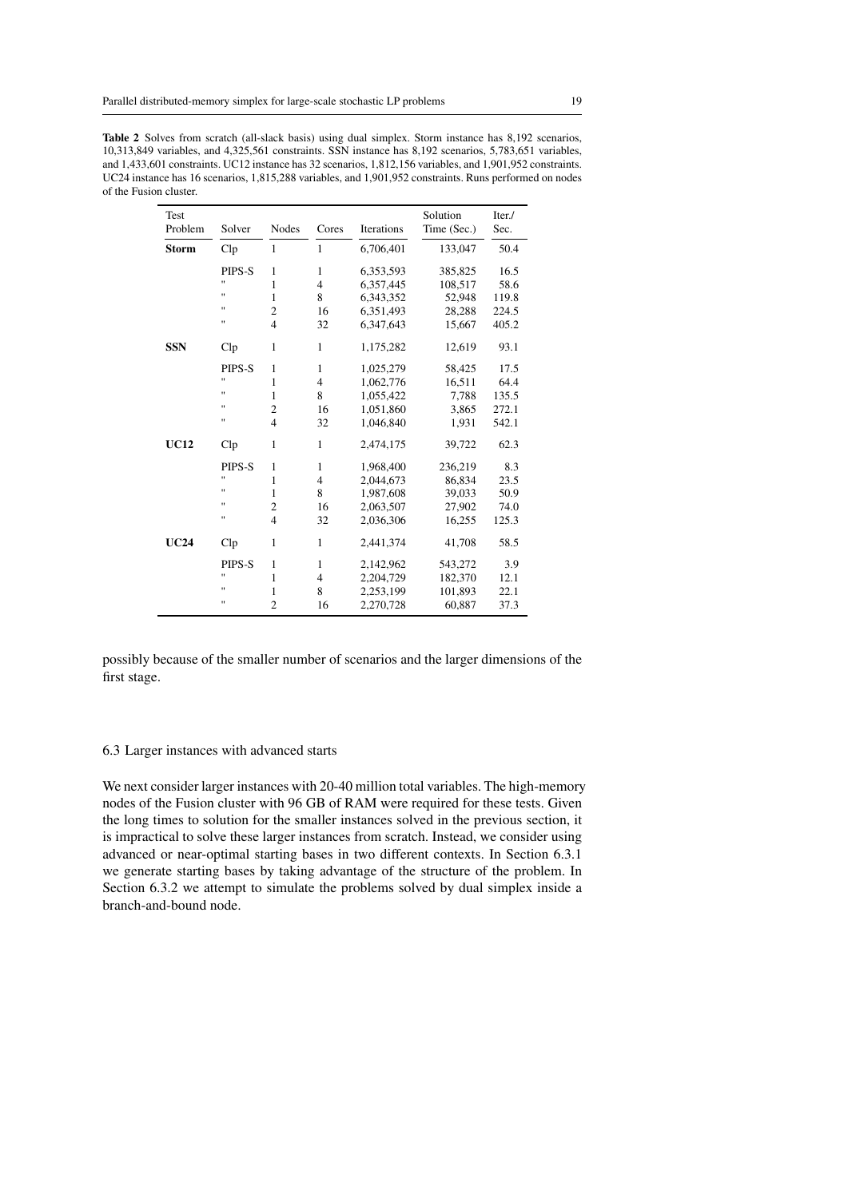| Test<br>Problem | Solver               | <b>Nodes</b>            | Cores          | Iterations | Solution<br>Time (Sec.) | Iter./<br>Sec. |
|-----------------|----------------------|-------------------------|----------------|------------|-------------------------|----------------|
| <b>Storm</b>    | Clp                  | $\mathbf{1}$            | $\mathbf{1}$   | 6,706,401  | 133,047                 | 50.4           |
|                 | PIPS-S               | $\mathbf{1}$            | $\mathbf{1}$   | 6,353,593  | 385,825                 | 16.5           |
|                 | Ħ                    | 1                       | $\overline{4}$ | 6,357,445  | 108,517                 | 58.6           |
|                 | Ħ                    | 1                       | 8              | 6,343,352  | 52,948                  | 119.8          |
|                 | Ħ                    | $\overline{c}$          | 16             | 6,351,493  | 28,288                  | 224.5          |
|                 | $\blacksquare$       | $\overline{4}$          | 32             | 6,347,643  | 15,667                  | 405.2          |
| <b>SSN</b>      | $_{\rm Clp}$         | 1                       | 1              | 1,175,282  | 12,619                  | 93.1           |
|                 | PIPS-S               | $\mathbf{1}$            | 1              | 1,025,279  | 58,425                  | 17.5           |
|                 | $^{\prime}$          | 1                       | $\overline{4}$ | 1,062,776  | 16,511                  | 64.4           |
|                 | Ħ                    | 1                       | 8              | 1,055,422  | 7,788                   | 135.5          |
|                 | $\blacksquare$       | $\overline{c}$          | 16             | 1,051,860  | 3,865                   | 272.1          |
|                 | Ħ                    | $\overline{\mathbf{4}}$ | 32             | 1,046,840  | 1,931                   | 542.1          |
| <b>UC12</b>     | Clp                  | 1                       | 1              | 2,474,175  | 39,722                  | 62.3           |
|                 | PIPS-S               | 1                       | 1              | 1,968,400  | 236,219                 | 8.3            |
|                 | Ħ                    | 1                       | $\overline{4}$ | 2,044,673  | 86,834                  | 23.5           |
|                 | $\blacksquare$       | $\mathbf{1}$            | 8              | 1,987,608  | 39,033                  | 50.9           |
|                 | $\blacksquare$       | $\overline{c}$          | 16             | 2,063,507  | 27,902                  | 74.0           |
|                 | п                    | $\overline{4}$          | 32             | 2,036,306  | 16,255                  | 125.3          |
| <b>UC24</b>     | $\operatorname{Clp}$ | 1                       | $\mathbf{1}$   | 2,441,374  | 41,708                  | 58.5           |
|                 | PIPS-S               | $\mathbf{1}$            | 1              | 2,142,962  | 543,272                 | 3.9            |
|                 | п                    | 1                       | $\overline{4}$ | 2,204,729  | 182,370                 | 12.1           |
|                 | п                    | 1                       | 8              | 2,253,199  | 101,893                 | 22.1           |
|                 | п                    | $\overline{c}$          | 16             | 2,270,728  | 60,887                  | 37.3           |

Table 2 Solves from scratch (all-slack basis) using dual simplex. Storm instance has 8,192 scenarios, 10,313,849 variables, and 4,325,561 constraints. SSN instance has 8,192 scenarios, 5,783,651 variables, and 1,433,601 constraints. UC12 instance has 32 scenarios, 1,812,156 variables, and 1,901,952 constraints. UC24 instance has 16 scenarios, 1,815,288 variables, and 1,901,952 constraints. Runs performed on nodes of the Fusion cluster.

possibly because of the smaller number of scenarios and the larger dimensions of the first stage.

## 6.3 Larger instances with advanced starts

We next consider larger instances with 20-40 million total variables. The high-memory nodes of the Fusion cluster with 96 GB of RAM were required for these tests. Given the long times to solution for the smaller instances solved in the previous section, it is impractical to solve these larger instances from scratch. Instead, we consider using advanced or near-optimal starting bases in two different contexts. In Section 6.3.1 we generate starting bases by taking advantage of the structure of the problem. In Section 6.3.2 we attempt to simulate the problems solved by dual simplex inside a branch-and-bound node.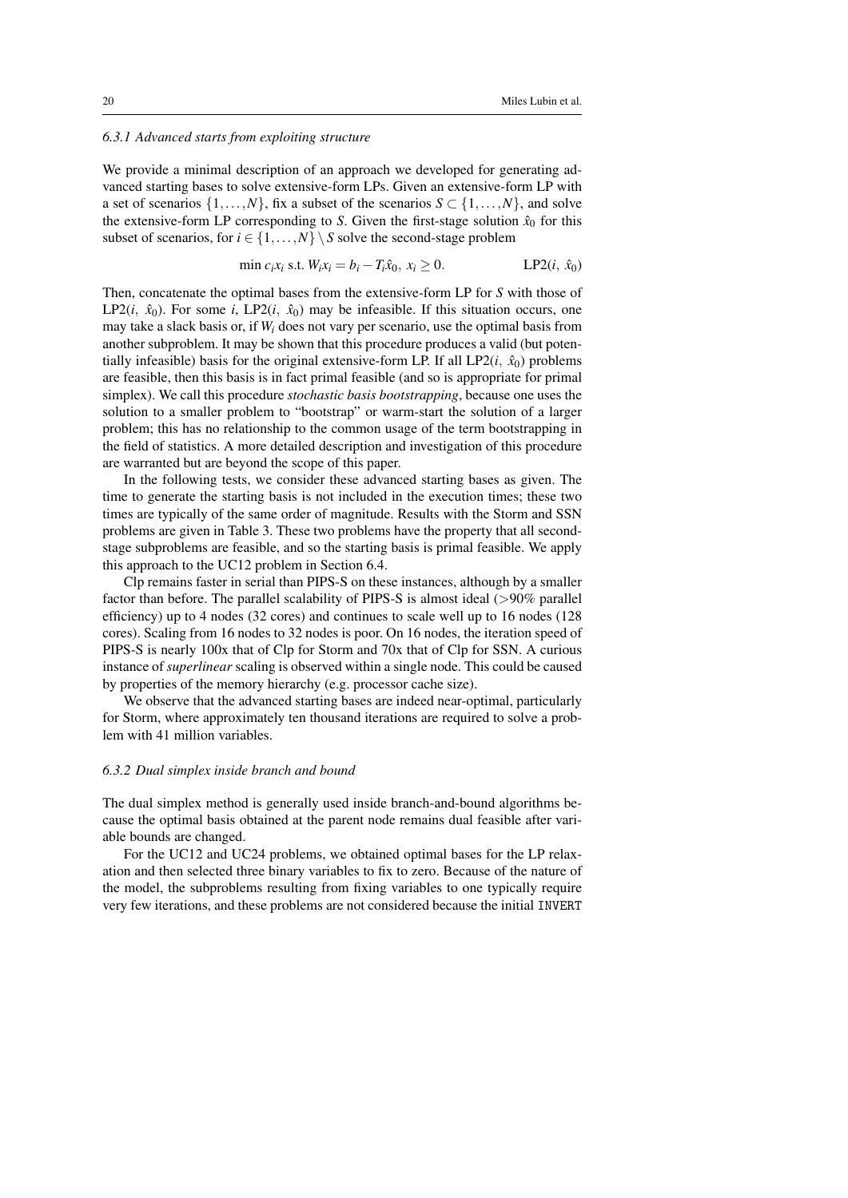## *6.3.1 Advanced starts from exploiting structure*

We provide a minimal description of an approach we developed for generating advanced starting bases to solve extensive-form LPs. Given an extensive-form LP with a set of scenarios  $\{1,\ldots,N\}$ , fix a subset of the scenarios  $S \subset \{1,\ldots,N\}$ , and solve the extensive-form LP corresponding to *S*. Given the first-stage solution  $\hat{x}_0$  for this subset of scenarios, for  $i \in \{1, ..., N\} \setminus S$  solve the second-stage problem

$$
\min c_i x_i \text{ s.t. } W_i x_i = b_i - T_i \hat{x}_0, x_i \ge 0. \qquad \text{LP2}(i, \hat{x}_0)
$$

Then, concatenate the optimal bases from the extensive-form LP for *S* with those of LP2(*i*,  $\hat{x}_0$ ). For some *i*, LP2(*i*,  $\hat{x}_0$ ) may be infeasible. If this situation occurs, one may take a slack basis or, if *W<sup>i</sup>* does not vary per scenario, use the optimal basis from another subproblem. It may be shown that this procedure produces a valid (but potentially infeasible) basis for the original extensive-form LP. If all  $LP2(i, \hat{x}_0)$  problems are feasible, then this basis is in fact primal feasible (and so is appropriate for primal simplex). We call this procedure *stochastic basis bootstrapping*, because one uses the solution to a smaller problem to "bootstrap" or warm-start the solution of a larger problem; this has no relationship to the common usage of the term bootstrapping in the field of statistics. A more detailed description and investigation of this procedure are warranted but are beyond the scope of this paper.

In the following tests, we consider these advanced starting bases as given. The time to generate the starting basis is not included in the execution times; these two times are typically of the same order of magnitude. Results with the Storm and SSN problems are given in Table 3. These two problems have the property that all secondstage subproblems are feasible, and so the starting basis is primal feasible. We apply this approach to the UC12 problem in Section 6.4.

Clp remains faster in serial than PIPS-S on these instances, although by a smaller factor than before. The parallel scalability of PIPS-S is almost ideal (>90% parallel efficiency) up to 4 nodes (32 cores) and continues to scale well up to 16 nodes (128 cores). Scaling from 16 nodes to 32 nodes is poor. On 16 nodes, the iteration speed of PIPS-S is nearly 100x that of Clp for Storm and 70x that of Clp for SSN. A curious instance of *superlinear* scaling is observed within a single node. This could be caused by properties of the memory hierarchy (e.g. processor cache size).

We observe that the advanced starting bases are indeed near-optimal, particularly for Storm, where approximately ten thousand iterations are required to solve a problem with 41 million variables.

### *6.3.2 Dual simplex inside branch and bound*

The dual simplex method is generally used inside branch-and-bound algorithms because the optimal basis obtained at the parent node remains dual feasible after variable bounds are changed.

For the UC12 and UC24 problems, we obtained optimal bases for the LP relaxation and then selected three binary variables to fix to zero. Because of the nature of the model, the subproblems resulting from fixing variables to one typically require very few iterations, and these problems are not considered because the initial INVERT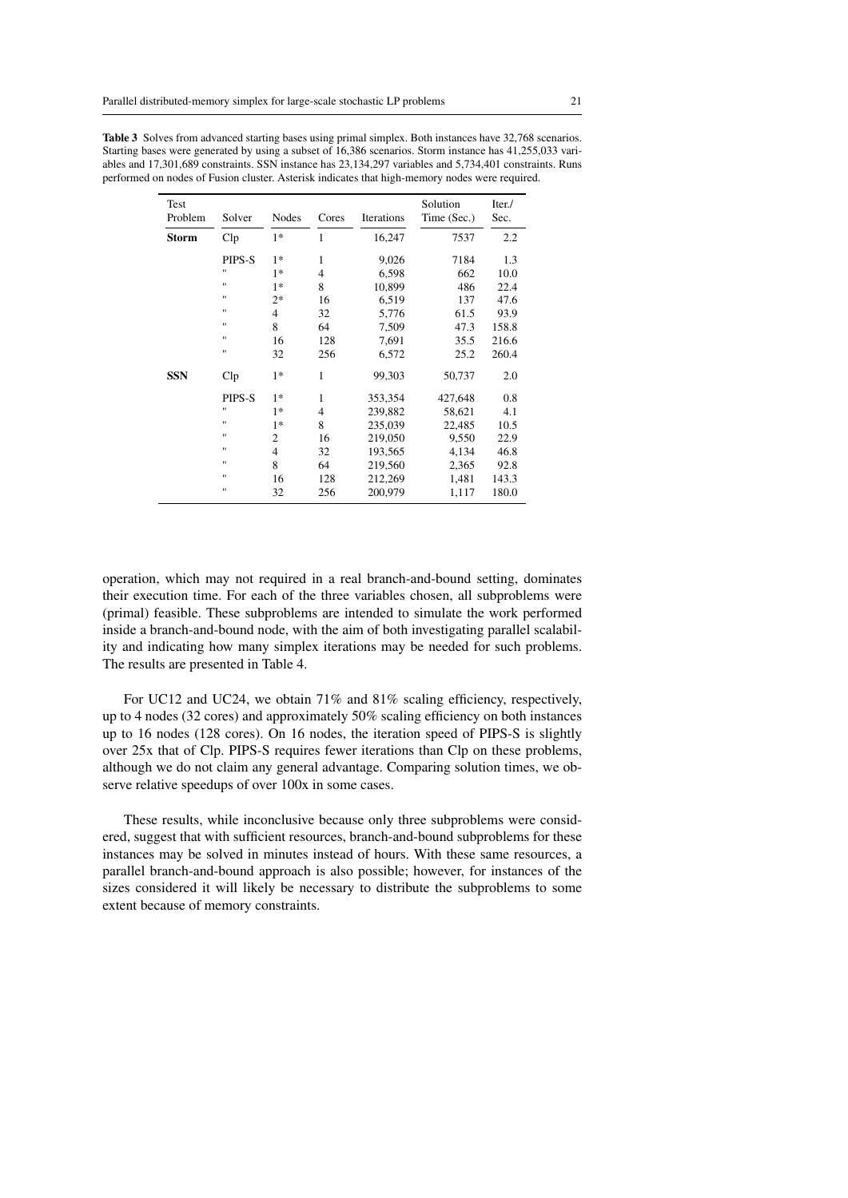| Test<br>Problem | Solver             | <b>Nodes</b>   | Cores          | Iterations | Solution<br>Time (Sec.) | Iter./<br>Sec. |
|-----------------|--------------------|----------------|----------------|------------|-------------------------|----------------|
| Storm           | Clp                | $1*$           | 1              | 16,247     | 7537                    | 2.2            |
|                 | PIPS-S             | $1*$           | $\mathbf{1}$   | 9,026      | 7184                    | 1.3            |
|                 | $^{\prime\prime}$  | $1*$           | $\overline{4}$ | 6,598      | 662                     | 10.0           |
|                 | 11                 | $1*$           | 8              | 10,899     | 486                     | 22.4           |
|                 | 11                 | $2*$           | 16             | 6,519      | 137                     | 47.6           |
|                 | 11                 | $\overline{4}$ | 32             | 5,776      | 61.5                    | 93.9           |
|                 | 11                 | 8              | 64             | 7,509      | 47.3                    | 158.8          |
|                 | 11                 | 16             | 128            | 7,691      | 35.5                    | 216.6          |
|                 | 11                 | 32             | 256            | 6,572      | 25.2                    | 260.4          |
| <b>SSN</b>      | Clp                | $1*$           | $\mathbf{1}$   | 99,303     | 50,737                  | 2.0            |
|                 | PIPS-S             | $1*$           | $\mathbf{1}$   | 353,354    | 427,648                 | 0.8            |
|                 | $^{\prime\prime}$  | $1*$           | $\overline{4}$ | 239,882    | 58,621                  | 4.1            |
|                 | $\pmb{\mathsf{H}}$ | $1*$           | 8              | 235,039    | 22,485                  | 10.5           |
|                 | 11                 | 2              | 16             | 219,050    | 9,550                   | 22.9           |
|                 | 11                 | $\overline{4}$ | 32             | 193,565    | 4,134                   | 46.8           |
|                 | 11                 | 8              | 64             | 219,560    | 2,365                   | 92.8           |
|                 | 11                 | 16             | 128            | 212,269    | 1,481                   | 143.3          |
|                 | 11                 | 32             | 256            | 200,979    | 1,117                   | 180.0          |

Table 3 Solves from advanced starting bases using primal simplex. Both instances have 32,768 scenarios. Starting bases were generated by using a subset of 16,386 scenarios. Storm instance has 41,255,033 variables and 17,301,689 constraints. SSN instance has 23,134,297 variables and 5,734,401 constraints. Runs performed on nodes of Fusion cluster. Asterisk indicates that high-memory nodes were required.

operation, which may not required in a real branch-and-bound setting, dominates their execution time. For each of the three variables chosen, all subproblems were (primal) feasible. These subproblems are intended to simulate the work performed inside a branch-and-bound node, with the aim of both investigating parallel scalability and indicating how many simplex iterations may be needed for such problems. The results are presented in Table 4.

For UC12 and UC24, we obtain 71% and 81% scaling efficiency, respectively, up to 4 nodes (32 cores) and approximately 50% scaling efficiency on both instances up to 16 nodes (128 cores). On 16 nodes, the iteration speed of PIPS-S is slightly over 25x that of Clp. PIPS-S requires fewer iterations than Clp on these problems, although we do not claim any general advantage. Comparing solution times, we observe relative speedups of over 100x in some cases.

These results, while inconclusive because only three subproblems were considered, suggest that with sufficient resources, branch-and-bound subproblems for these instances may be solved in minutes instead of hours. With these same resources, a parallel branch-and-bound approach is also possible; however, for instances of the sizes considered it will likely be necessary to distribute the subproblems to some extent because of memory constraints.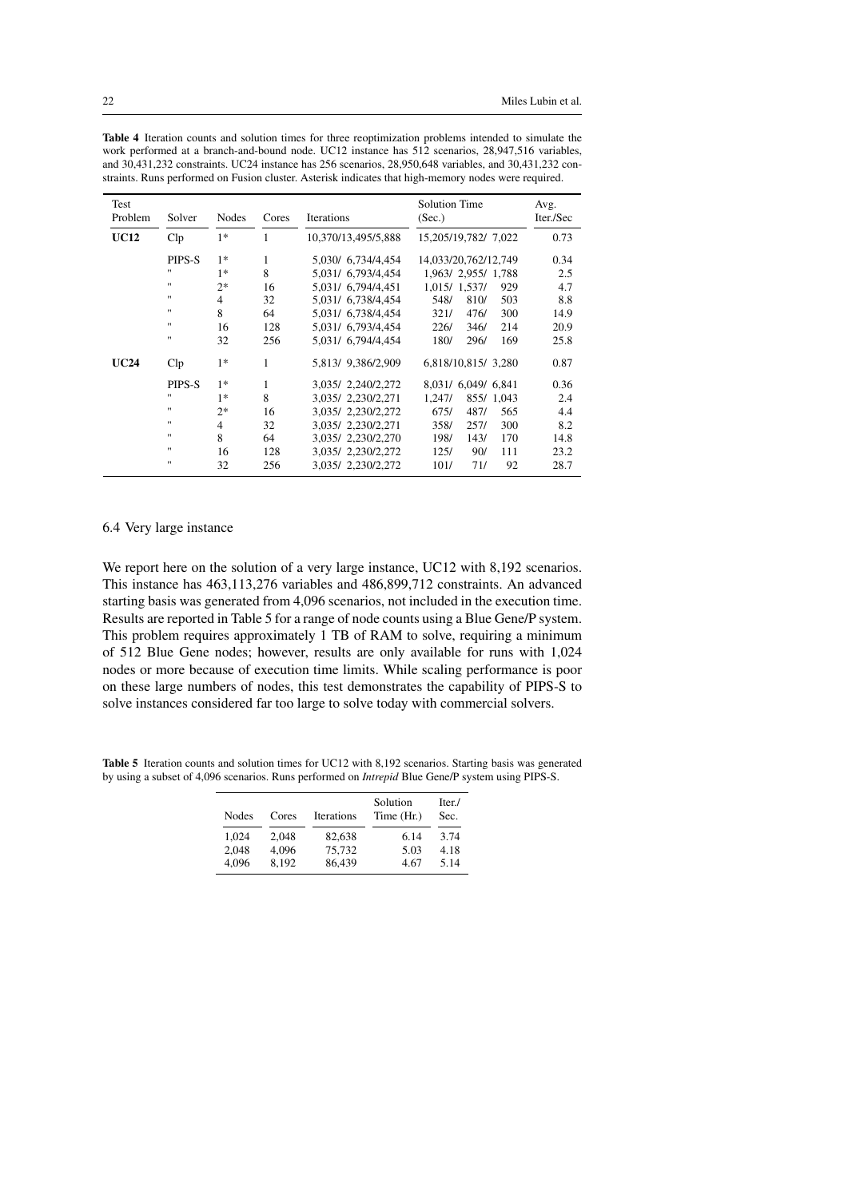| Test<br>Problem | Solver            | <b>Nodes</b>   | Cores        | Iterations          | <b>Solution Time</b><br>(Sec.) | Avg.<br>Iter./Sec |
|-----------------|-------------------|----------------|--------------|---------------------|--------------------------------|-------------------|
|                 |                   |                |              |                     |                                |                   |
| <b>UC12</b>     | $_{\rm Clp}$      | $1*$           | 1            | 10,370/13,495/5,888 | 15,205/19,782/ 7,022           | 0.73              |
|                 | PIPS-S            | $1*$           | 1            | 5,030/ 6,734/4,454  | 14,033/20,762/12,749           | 0.34              |
|                 | 11                | $1*$           | 8            | 5,031/ 6,793/4,454  | 1,963/ 2,955/ 1,788            | 2.5               |
|                 | $^{\prime\prime}$ | $2*$           | 16           | 5,031/ 6,794/4,451  | 1,015/ 1,537/<br>929           | 4.7               |
|                 | $^{\prime\prime}$ | $\overline{4}$ | 32           | 5,031/ 6,738/4,454  | 548/<br>810/<br>503            | 8.8               |
|                 | $^{\prime\prime}$ | 8              | 64           | 5.031/ 6.738/4.454  | 321/<br>476/<br>300            | 14.9              |
|                 | 11                | 16             | 128          | 5,031/ 6,793/4,454  | 214<br>226/<br>346/            | 20.9              |
|                 | $^{\prime\prime}$ | 32             | 256          | 5,031/ 6,794/4,454  | 169<br>180/<br>296/            | 25.8              |
| <b>UC24</b>     | $_{\rm Clp}$      | $1*$           | $\mathbf{1}$ | 5,813/ 9,386/2,909  | 6,818/10,815/3,280             | 0.87              |
|                 | PIPS-S            | $1*$           | 1            | 3,035/ 2,240/2,272  | 8,031/ 6,049/ 6,841            | 0.36              |
|                 | 11                | $1*$           | 8            | 3,035/ 2,230/2,271  | 855/1,043<br>1,247/            | 2.4               |
|                 | 11                | $2*$           | 16           | 3,035/ 2,230/2,272  | 675/<br>487/<br>565            | 4.4               |
|                 | $^{\prime\prime}$ | $\overline{4}$ | 32           | 3,035/ 2,230/2,271  | 300<br>358/<br>257/            | 8.2               |
|                 | 11                | 8              | 64           | 3,035/ 2,230/2,270  | 198/<br>143/<br>170            | 14.8              |
|                 | 11                | 16             | 128          | 3,035/ 2,230/2,272  | 111<br>90/<br>125/             | 23.2              |
|                 | $^{\prime\prime}$ | 32             | 256          | 3,035/2,230/2,272   | 101/<br>71/<br>92              | 28.7              |

Table 4 Iteration counts and solution times for three reoptimization problems intended to simulate the work performed at a branch-and-bound node. UC12 instance has 512 scenarios, 28,947,516 variables, and 30,431,232 constraints. UC24 instance has 256 scenarios, 28,950,648 variables, and 30,431,232 constraints. Runs performed on Fusion cluster. Asterisk indicates that high-memory nodes were required.

6.4 Very large instance

We report here on the solution of a very large instance, UC12 with 8,192 scenarios. This instance has 463,113,276 variables and 486,899,712 constraints. An advanced starting basis was generated from 4,096 scenarios, not included in the execution time. Results are reported in Table 5 for a range of node counts using a Blue Gene/P system. This problem requires approximately 1 TB of RAM to solve, requiring a minimum of 512 Blue Gene nodes; however, results are only available for runs with 1,024 nodes or more because of execution time limits. While scaling performance is poor on these large numbers of nodes, this test demonstrates the capability of PIPS-S to solve instances considered far too large to solve today with commercial solvers.

Table 5 Iteration counts and solution times for UC12 with 8,192 scenarios. Starting basis was generated by using a subset of 4,096 scenarios. Runs performed on *Intrepid* Blue Gene/P system using PIPS-S.

| Nodes | Cores | Iterations | Solution<br>Time (Hr.) | Iter./<br>Sec. |
|-------|-------|------------|------------------------|----------------|
| 1.024 | 2.048 | 82.638     | 6.14                   | 3.74           |
| 2.048 | 4.096 | 75.732     | 5.03                   | 4.18           |
| 4.096 | 8.192 | 86,439     | 4.67                   | 5.14           |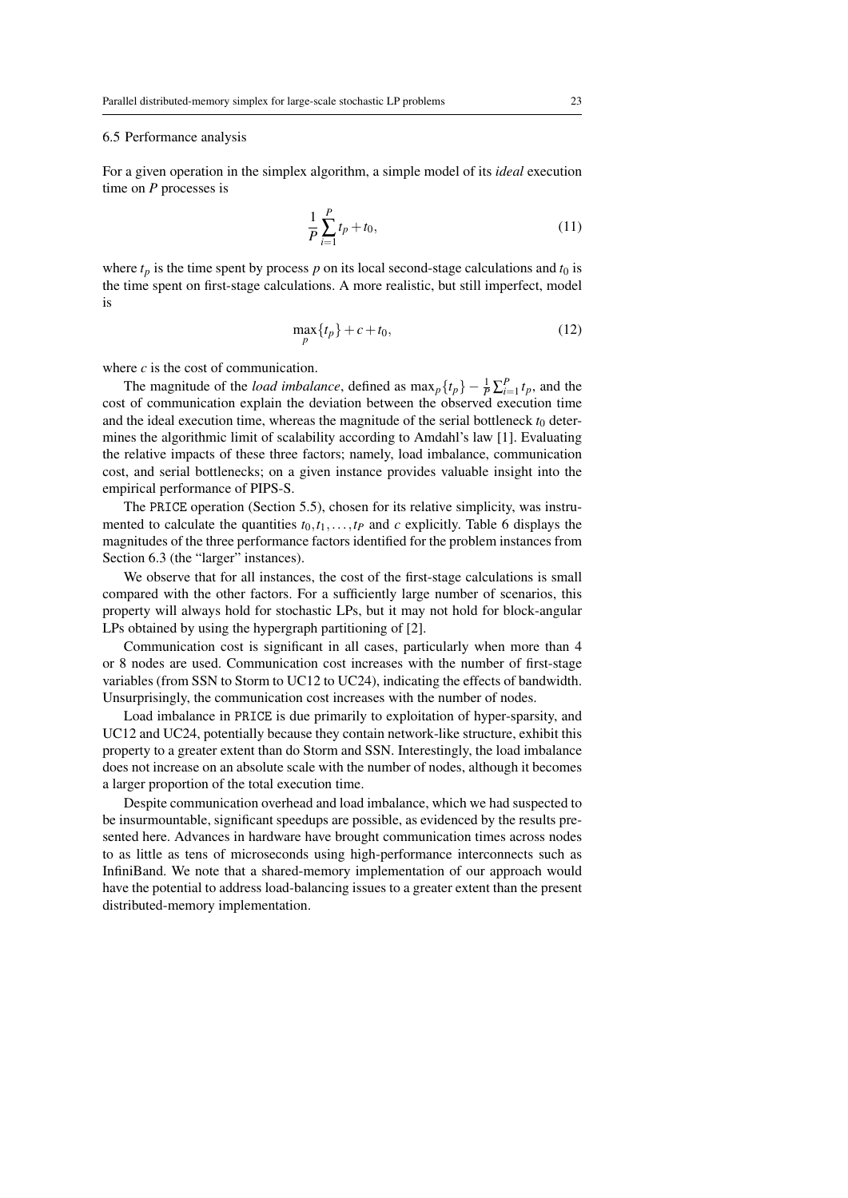### 6.5 Performance analysis

For a given operation in the simplex algorithm, a simple model of its *ideal* execution time on *P* processes is

$$
\frac{1}{P} \sum_{i=1}^{P} t_p + t_0,\tag{11}
$$

where  $t_p$  is the time spent by process  $p$  on its local second-stage calculations and  $t_0$  is the time spent on first-stage calculations. A more realistic, but still imperfect, model is

$$
\max_{p} \{t_p\} + c + t_0,\tag{12}
$$

where *c* is the cost of communication.

The magnitude of the *load imbalance*, defined as  $\max_{p} \{t_p\} - \frac{1}{P} \sum_{i=1}^{P} t_p$ , and the cost of communication explain the deviation between the observed execution time and the ideal execution time, whereas the magnitude of the serial bottleneck  $t_0$  determines the algorithmic limit of scalability according to Amdahl's law [1]. Evaluating the relative impacts of these three factors; namely, load imbalance, communication cost, and serial bottlenecks; on a given instance provides valuable insight into the empirical performance of PIPS-S.

The PRICE operation (Section 5.5), chosen for its relative simplicity, was instrumented to calculate the quantities  $t_0, t_1, \ldots, t_p$  and  $c$  explicitly. Table 6 displays the magnitudes of the three performance factors identified for the problem instances from Section 6.3 (the "larger" instances).

We observe that for all instances, the cost of the first-stage calculations is small compared with the other factors. For a sufficiently large number of scenarios, this property will always hold for stochastic LPs, but it may not hold for block-angular LPs obtained by using the hypergraph partitioning of [2].

Communication cost is significant in all cases, particularly when more than 4 or 8 nodes are used. Communication cost increases with the number of first-stage variables (from SSN to Storm to UC12 to UC24), indicating the effects of bandwidth. Unsurprisingly, the communication cost increases with the number of nodes.

Load imbalance in PRICE is due primarily to exploitation of hyper-sparsity, and UC12 and UC24, potentially because they contain network-like structure, exhibit this property to a greater extent than do Storm and SSN. Interestingly, the load imbalance does not increase on an absolute scale with the number of nodes, although it becomes a larger proportion of the total execution time.

Despite communication overhead and load imbalance, which we had suspected to be insurmountable, significant speedups are possible, as evidenced by the results presented here. Advances in hardware have brought communication times across nodes to as little as tens of microseconds using high-performance interconnects such as InfiniBand. We note that a shared-memory implementation of our approach would have the potential to address load-balancing issues to a greater extent than the present distributed-memory implementation.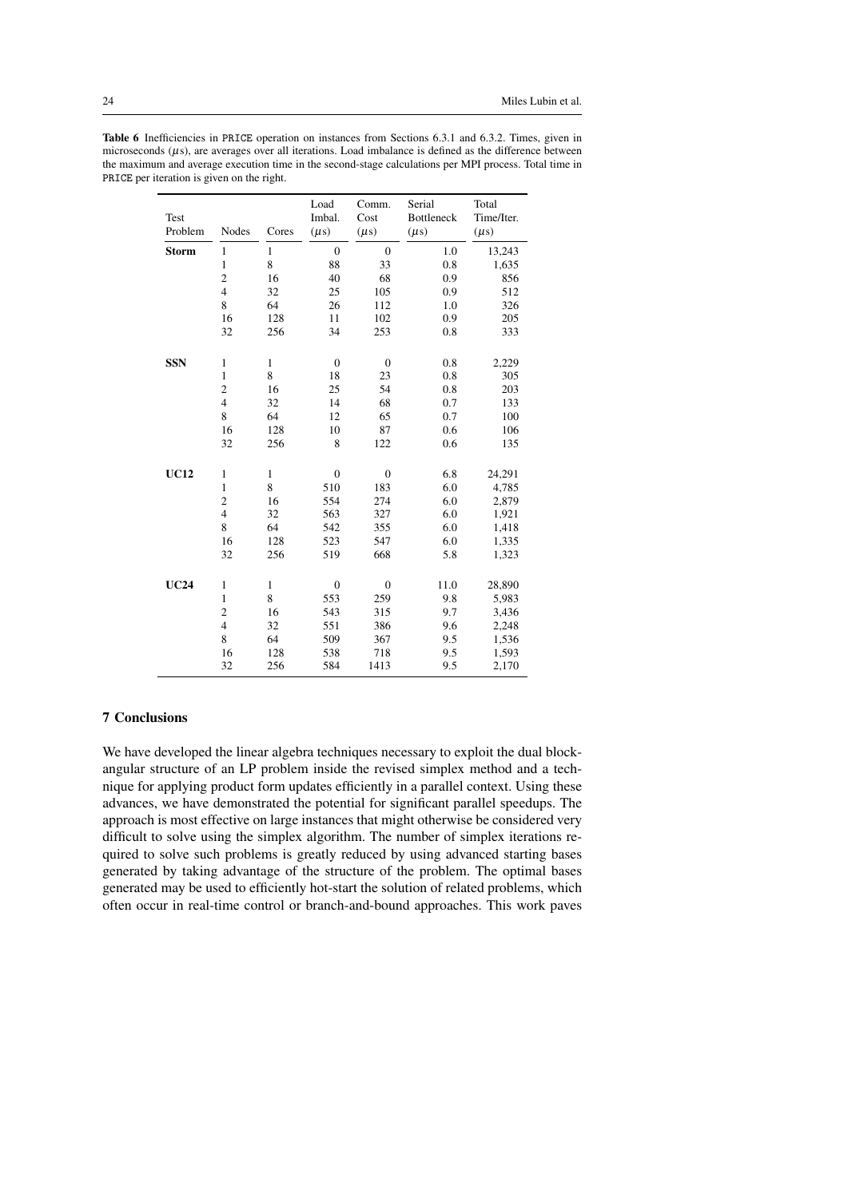| <b>Test</b><br>Problem | Nodes          | Cores        | Load<br>Imbal.<br>$(\mu s)$ | Comm.<br>Cost<br>$(\mu s)$ | Serial<br><b>Bottleneck</b><br>$(\mu s)$ | Total<br>Time/Iter.<br>$(\mu s)$ |
|------------------------|----------------|--------------|-----------------------------|----------------------------|------------------------------------------|----------------------------------|
| <b>Storm</b>           | $\mathbf{1}$   | $\mathbf{1}$ | $\overline{0}$              | $\overline{0}$             | 1.0                                      | 13,243                           |
|                        | $\mathbf{1}$   | 8            | 88                          | 33                         | 0.8                                      | 1,635                            |
|                        | $\overline{c}$ | 16           | 40                          | 68                         | 0.9                                      | 856                              |
|                        | $\overline{4}$ | 32           | 25                          | 105                        | 0.9                                      | 512                              |
|                        | 8              | 64           | 26                          | 112                        | 1.0                                      | 326                              |
|                        | 16             | 128          | 11                          | 102                        | 0.9                                      | 205                              |
|                        | 32             | 256          | 34                          | 253                        | 0.8                                      | 333                              |
|                        |                |              |                             |                            |                                          |                                  |
| <b>SSN</b>             | $\mathbf{1}$   | $\mathbf{1}$ | $\boldsymbol{0}$            | $\boldsymbol{0}$           | 0.8                                      | 2,229                            |
|                        | $\mathbf{1}$   | 8            | 18                          | 23                         | 0.8                                      | 305                              |
|                        | $\overline{c}$ | 16           | 25                          | 54                         | 0.8                                      | 203                              |
|                        | $\overline{4}$ | 32           | 14                          | 68                         | 0.7                                      | 133                              |
|                        | 8              | 64           | 12                          | 65                         | 0.7                                      | 100                              |
|                        | 16             | 128          | 10                          | 87                         | 0.6                                      | 106                              |
|                        | 32             | 256          | 8                           | 122                        | 0.6                                      | 135                              |
|                        |                |              |                             |                            |                                          |                                  |
| <b>UC12</b>            | $\mathbf{1}$   | $\mathbf{1}$ | $\boldsymbol{0}$            | $\boldsymbol{0}$           | 6.8                                      | 24,291                           |
|                        | $\mathbf{1}$   | 8            | 510                         | 183                        | 6.0                                      | 4,785                            |
|                        | $\overline{c}$ | 16           | 554                         | 274                        | 6.0                                      | 2,879                            |
|                        | $\overline{4}$ | 32           | 563                         | 327                        | 6.0                                      | 1,921                            |
|                        | 8              | 64           | 542                         | 355                        | 6.0                                      | 1,418                            |
|                        | 16             | 128          | 523                         | 547                        | 6.0                                      | 1,335                            |
|                        | 32             | 256          | 519                         | 668                        | 5.8                                      | 1,323                            |
|                        |                |              |                             |                            |                                          |                                  |
| <b>UC24</b>            | $\mathbf{1}$   | $\mathbf{1}$ | $\overline{0}$              | $\overline{0}$             | 11.0                                     | 28,890                           |
|                        | $\mathbf{1}$   | 8            | 553                         | 259                        | 9.8                                      | 5,983                            |
|                        | $\overline{c}$ | 16           | 543                         | 315                        | 9.7                                      | 3,436                            |
|                        | $\overline{4}$ | 32           | 551                         | 386                        | 9.6                                      | 2,248                            |
|                        | 8              | 64           | 509                         | 367                        | 9.5                                      | 1,536                            |
|                        | 16             | 128          | 538                         | 718                        | 9.5                                      | 1,593                            |
|                        | 32             | 256          | 584                         | 1413                       | 9.5                                      | 2,170                            |

## 7 Conclusions

We have developed the linear algebra techniques necessary to exploit the dual blockangular structure of an LP problem inside the revised simplex method and a technique for applying product form updates efficiently in a parallel context. Using these advances, we have demonstrated the potential for significant parallel speedups. The approach is most effective on large instances that might otherwise be considered very difficult to solve using the simplex algorithm. The number of simplex iterations required to solve such problems is greatly reduced by using advanced starting bases generated by taking advantage of the structure of the problem. The optimal bases generated may be used to efficiently hot-start the solution of related problems, which often occur in real-time control or branch-and-bound approaches. This work paves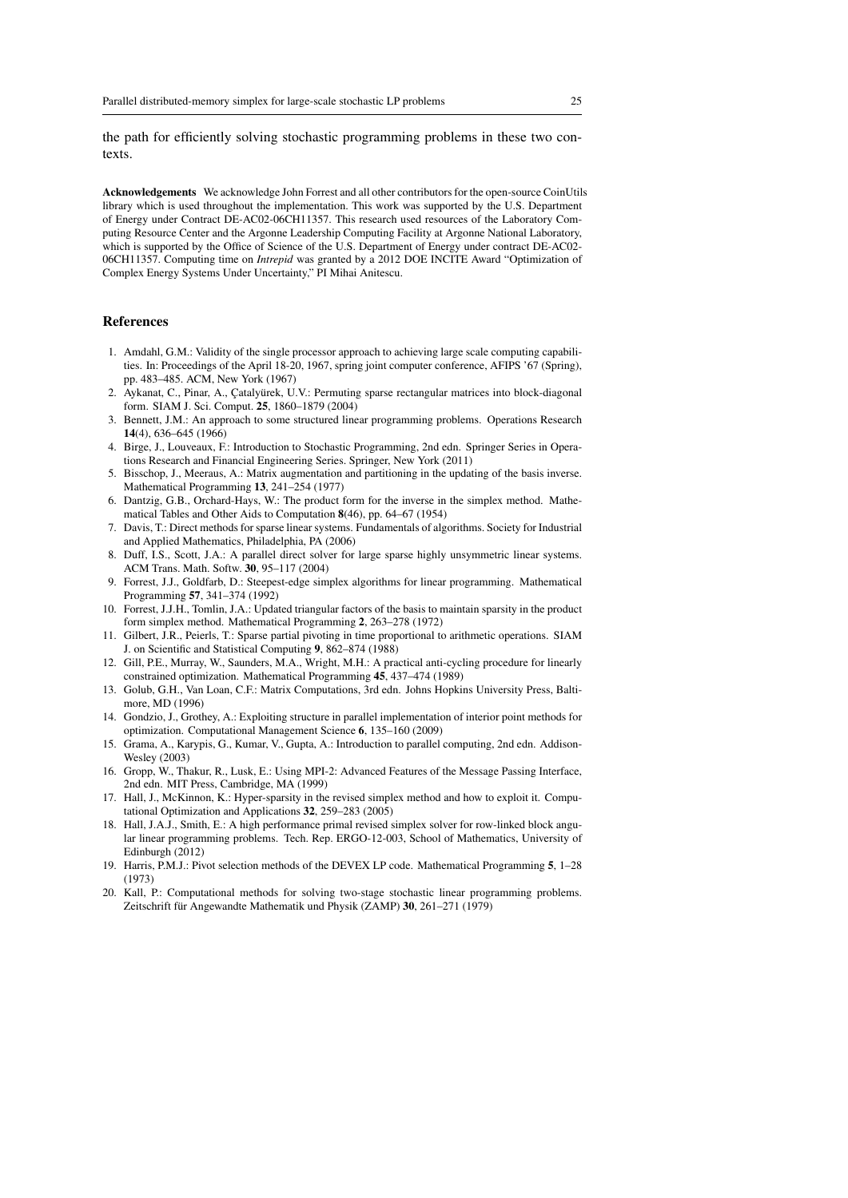the path for efficiently solving stochastic programming problems in these two contexts.

Acknowledgements We acknowledge John Forrest and all other contributors for the open-source CoinUtils library which is used throughout the implementation. This work was supported by the U.S. Department of Energy under Contract DE-AC02-06CH11357. This research used resources of the Laboratory Computing Resource Center and the Argonne Leadership Computing Facility at Argonne National Laboratory, which is supported by the Office of Science of the U.S. Department of Energy under contract DE-AC02-06CH11357. Computing time on *Intrepid* was granted by a 2012 DOE INCITE Award "Optimization of Complex Energy Systems Under Uncertainty," PI Mihai Anitescu.

#### References

- 1. Amdahl, G.M.: Validity of the single processor approach to achieving large scale computing capabilities. In: Proceedings of the April 18-20, 1967, spring joint computer conference, AFIPS '67 (Spring), pp. 483–485. ACM, New York (1967)
- 2. Aykanat, C., Pinar, A., Çatalyürek, U.V.: Permuting sparse rectangular matrices into block-diagonal form. SIAM J. Sci. Comput. 25, 1860–1879 (2004)
- 3. Bennett, J.M.: An approach to some structured linear programming problems. Operations Research 14(4), 636–645 (1966)
- 4. Birge, J., Louveaux, F.: Introduction to Stochastic Programming, 2nd edn. Springer Series in Operations Research and Financial Engineering Series. Springer, New York (2011)
- 5. Bisschop, J., Meeraus, A.: Matrix augmentation and partitioning in the updating of the basis inverse. Mathematical Programming 13, 241–254 (1977)
- 6. Dantzig, G.B., Orchard-Hays, W.: The product form for the inverse in the simplex method. Mathematical Tables and Other Aids to Computation 8(46), pp. 64–67 (1954)
- 7. Davis, T.: Direct methods for sparse linear systems. Fundamentals of algorithms. Society for Industrial and Applied Mathematics, Philadelphia, PA (2006)
- 8. Duff, I.S., Scott, J.A.: A parallel direct solver for large sparse highly unsymmetric linear systems. ACM Trans. Math. Softw. 30, 95–117 (2004)
- 9. Forrest, J.J., Goldfarb, D.: Steepest-edge simplex algorithms for linear programming. Mathematical Programming 57, 341–374 (1992)
- 10. Forrest, J.J.H., Tomlin, J.A.: Updated triangular factors of the basis to maintain sparsity in the product form simplex method. Mathematical Programming 2, 263–278 (1972)
- 11. Gilbert, J.R., Peierls, T.: Sparse partial pivoting in time proportional to arithmetic operations. SIAM J. on Scientific and Statistical Computing 9, 862–874 (1988)
- 12. Gill, P.E., Murray, W., Saunders, M.A., Wright, M.H.: A practical anti-cycling procedure for linearly constrained optimization. Mathematical Programming 45, 437–474 (1989)
- 13. Golub, G.H., Van Loan, C.F.: Matrix Computations, 3rd edn. Johns Hopkins University Press, Baltimore, MD (1996)
- 14. Gondzio, J., Grothey, A.: Exploiting structure in parallel implementation of interior point methods for optimization. Computational Management Science 6, 135–160 (2009)
- 15. Grama, A., Karypis, G., Kumar, V., Gupta, A.: Introduction to parallel computing, 2nd edn. Addison-Wesley (2003)
- 16. Gropp, W., Thakur, R., Lusk, E.: Using MPI-2: Advanced Features of the Message Passing Interface, 2nd edn. MIT Press, Cambridge, MA (1999)
- 17. Hall, J., McKinnon, K.: Hyper-sparsity in the revised simplex method and how to exploit it. Computational Optimization and Applications 32, 259–283 (2005)
- 18. Hall, J.A.J., Smith, E.: A high performance primal revised simplex solver for row-linked block angular linear programming problems. Tech. Rep. ERGO-12-003, School of Mathematics, University of Edinburgh (2012)
- 19. Harris, P.M.J.: Pivot selection methods of the DEVEX LP code. Mathematical Programming 5, 1–28 (1973)
- 20. Kall, P.: Computational methods for solving two-stage stochastic linear programming problems. Zeitschrift für Angewandte Mathematik und Physik (ZAMP) 30, 261-271 (1979)